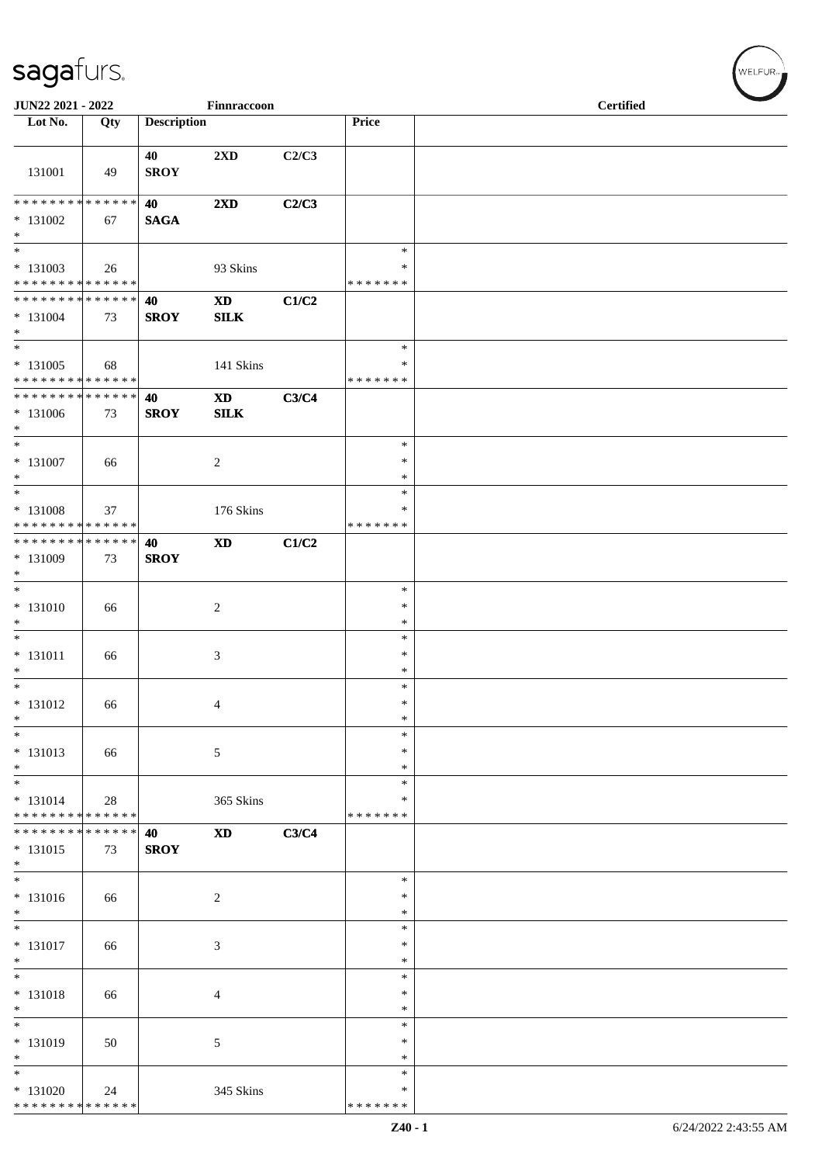| JUN22 2021 - 2022                                                     |     |                    | Finnraccoon                                |       |                                   | <b>Certified</b> |  |
|-----------------------------------------------------------------------|-----|--------------------|--------------------------------------------|-------|-----------------------------------|------------------|--|
| Lot No.                                                               | Qty | <b>Description</b> |                                            |       | Price                             |                  |  |
| 131001                                                                | 49  | 40<br><b>SROY</b>  | 2XD                                        | C2/C3 |                                   |                  |  |
| **************<br>$* 131002$<br>$\ast$                                | 67  | 40<br><b>SAGA</b>  | 2XD                                        | C2/C3 |                                   |                  |  |
| $\overline{\phantom{0}}$<br>$* 131003$<br>* * * * * * * * * * * * * * | 26  |                    | 93 Skins                                   |       | $\ast$<br>∗<br>* * * * * * *      |                  |  |
| * * * * * * * * * * * * * * *<br>$* 131004$<br>$\ast$                 | 73  | 40<br><b>SROY</b>  | $\mathbf{X}\mathbf{D}$<br>SLK              | C1/C2 |                                   |                  |  |
| $\overline{\phantom{1}}$<br>$* 131005$<br>* * * * * * * * * * * * * * | 68  |                    | 141 Skins                                  |       | $\ast$<br>∗<br>* * * * * * *      |                  |  |
| * * * * * * * * * * * * * * *<br>$*131006$<br>$\ast$                  | 73  | 40<br><b>SROY</b>  | $\boldsymbol{\mathrm{XD}}$<br>${\bf SILK}$ | C3/C4 |                                   |                  |  |
| $\ast$<br>$* 131007$<br>$\ast$                                        | 66  |                    | $\overline{c}$                             |       | $\ast$<br>$\ast$<br>$\ast$        |                  |  |
| $\ast$<br>* 131008<br>* * * * * * * * * * * * * *                     | 37  |                    | 176 Skins                                  |       | $\ast$<br>∗<br>* * * * * * *      |                  |  |
| ******** <mark>******</mark><br>* 131009<br>$\ast$                    | 73  | 40<br><b>SROY</b>  | $\mathbf{X}\mathbf{D}$                     | C1/C2 |                                   |                  |  |
| $\ast$<br>$* 131010$<br>$\ast$                                        | 66  |                    | $\sqrt{2}$                                 |       | $\ast$<br>$\ast$<br>$\ast$        |                  |  |
| $\ast$<br>$* 131011$<br>$\ast$                                        | 66  |                    | $\boldsymbol{\mathfrak{Z}}$                |       | $\ast$<br>$\ast$<br>$\ast$        |                  |  |
| $\overline{\phantom{0}}$<br>$* 131012$<br>$\ast$                      | 66  |                    | $\overline{4}$                             |       | $\ast$<br>$\ast$<br>$\ast$        |                  |  |
| $\ast$<br>$* 131013$<br>$\ast$                                        | 66  |                    | $\sqrt{5}$                                 |       | $\ast$<br>$\ast$<br>$\ast$        |                  |  |
| $\ast$<br>$* 131014$<br>******** <mark>******</mark>                  | 28  |                    | 365 Skins                                  |       | $\ast$<br>$\ast$<br>* * * * * * * |                  |  |
| ******** <mark>******</mark><br>$* 131015$<br>$\ast$<br>$_{\ast}$     | 73  | 40<br><b>SROY</b>  | $\mathbf{X}\mathbf{D}$                     | C3/C4 |                                   |                  |  |
| $* 131016$<br>$\ast$                                                  | 66  |                    | $\overline{2}$                             |       | $\ast$<br>$\ast$<br>$\ast$        |                  |  |
| $\ast$<br>$* 131017$<br>$\ast$                                        | 66  |                    | 3                                          |       | $\ast$<br>$\ast$<br>$\ast$        |                  |  |
| $\overline{\phantom{a}^*}$<br>$* 131018$<br>$\ast$                    | 66  |                    | $\overline{4}$                             |       | $\ast$<br>$\ast$<br>$\ast$        |                  |  |
| $\overline{\phantom{a}^*}$<br>* 131019<br>$\ast$                      | 50  |                    | $\sqrt{5}$                                 |       | $\ast$<br>$\ast$<br>$\ast$        |                  |  |
| $\ast$<br>$* 131020$<br>* * * * * * * * * * * * * *                   | 24  |                    | 345 Skins                                  |       | $\ast$<br>∗<br>* * * * * * *      |                  |  |

 $(\forall ELFUR_{\approx})$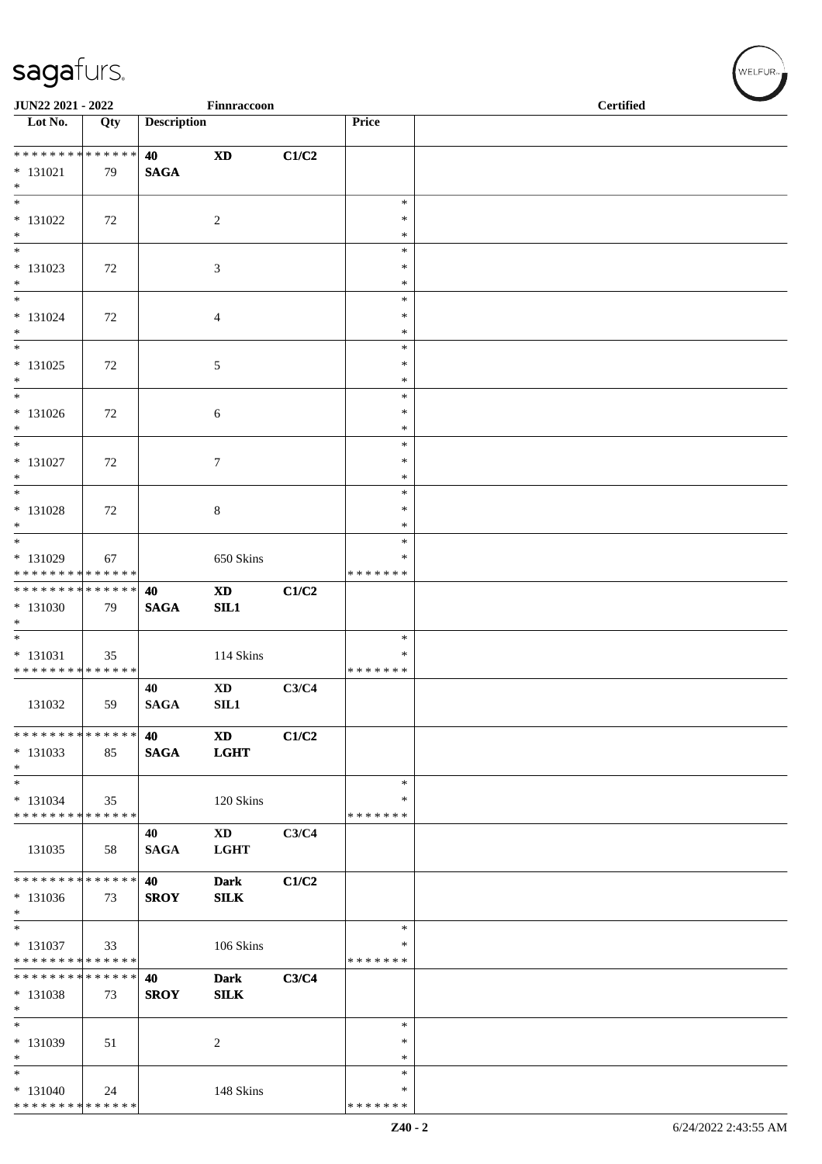| JUN22 2021 - 2022                                 |     |                    | Finnraccoon                           |       |                         | <b>Certified</b> |  |  |  |
|---------------------------------------------------|-----|--------------------|---------------------------------------|-------|-------------------------|------------------|--|--|--|
| Lot No.                                           | Qty | <b>Description</b> |                                       |       | Price                   |                  |  |  |  |
|                                                   |     | 40                 | $\boldsymbol{\mathrm{XD}}$            | C1/C2 |                         |                  |  |  |  |
| $* 131021$<br>$\ast$                              | 79  | <b>SAGA</b>        |                                       |       |                         |                  |  |  |  |
| $\overline{\phantom{a}^*}$                        |     |                    |                                       |       | $\ast$<br>$\ast$        |                  |  |  |  |
| $* 131022$<br>$\ast$                              | 72  |                    | $\overline{c}$                        |       | $\ast$                  |                  |  |  |  |
| $\ast$<br>$* 131023$                              | 72  |                    | $\boldsymbol{\mathfrak{Z}}$           |       | $\ast$<br>$\ast$        |                  |  |  |  |
| $\ast$<br>$_{\ast}^{-}$                           |     |                    |                                       |       | $\ast$<br>$\ast$        |                  |  |  |  |
| $* 131024$<br>$\ast$                              | 72  |                    | 4                                     |       | ∗<br>$\ast$             |                  |  |  |  |
| $_{\ast}^{-}$<br>$* 131025$                       | 72  |                    | $\mathfrak{S}$                        |       | $\ast$<br>$\ast$        |                  |  |  |  |
| $\ast$                                            |     |                    |                                       |       | $\ast$                  |                  |  |  |  |
| $\ast$<br>$* 131026$                              | 72  |                    | 6                                     |       | $\ast$<br>$\ast$        |                  |  |  |  |
| $\ast$<br>$\frac{1}{*}$                           |     |                    |                                       |       | $\ast$<br>$\ast$        |                  |  |  |  |
| $* 131027$<br>$\ast$                              | 72  |                    | $\tau$                                |       | $\ast$<br>$\ast$        |                  |  |  |  |
| $\overline{\ast}$                                 |     |                    |                                       |       | $\ast$                  |                  |  |  |  |
| $* 131028$<br>$*$                                 | 72  |                    | $\,8\,$                               |       | $\ast$<br>$\ast$        |                  |  |  |  |
| $*$<br>$* 131029$                                 | 67  |                    | 650 Skins                             |       | $\ast$<br>$\ast$        |                  |  |  |  |
| * * * * * * * * * * * * * *                       |     |                    |                                       |       | * * * * * * *           |                  |  |  |  |
| ******** <mark>******</mark><br>$* 131030$        | 79  | 40<br><b>SAGA</b>  | $\mathbf{X}\mathbf{D}$<br>SL1         | C1/C2 |                         |                  |  |  |  |
| $*$<br>$\overline{\phantom{0}}$                   |     |                    |                                       |       |                         |                  |  |  |  |
| $* 131031$                                        | 35  |                    | 114 Skins                             |       | $\ast$<br>$\ast$        |                  |  |  |  |
| * * * * * * * * * * * * * *                       |     |                    |                                       |       | * * * * * * *           |                  |  |  |  |
| 131032                                            | 59  | 40<br><b>SAGA</b>  | $\mathbf{X}\mathbf{D}$<br>SL1         | C3/C4 |                         |                  |  |  |  |
| * * * * * * * * * * * * * *                       |     | 40                 | $\boldsymbol{\mathrm{XD}}$            | C1/C2 |                         |                  |  |  |  |
| $* 131033$<br>$*$                                 | 85  | <b>SAGA</b>        | <b>LGHT</b>                           |       |                         |                  |  |  |  |
| $\overline{\phantom{0}}$<br>$* 131034$            |     |                    |                                       |       | $\ast$<br>$\ast$        |                  |  |  |  |
| * * * * * * * * * * * * * *                       | 35  |                    | 120 Skins                             |       | * * * * * * *           |                  |  |  |  |
| 131035                                            | 58  | 40<br><b>SAGA</b>  | $\mathbf{X}\mathbf{D}$<br><b>LGHT</b> | C3/C4 |                         |                  |  |  |  |
| ******** <mark>******</mark>                      |     | 40                 | <b>Dark</b>                           | C1/C2 |                         |                  |  |  |  |
| $* 131036$<br>$\ast$                              | 73  | <b>SROY</b>        | <b>SILK</b>                           |       |                         |                  |  |  |  |
| $\overline{\phantom{a}^*}$<br>$* 131037$          | 33  |                    | 106 Skins                             |       | $\ast$<br>$\ast$        |                  |  |  |  |
| * * * * * * * * * * * * * *                       |     |                    |                                       |       | * * * * * * *           |                  |  |  |  |
| * * * * * * * * * * * * * *<br>* 131038<br>$\ast$ | 73  | 40<br><b>SROY</b>  | <b>Dark</b><br><b>SILK</b>            | C3/C4 |                         |                  |  |  |  |
| $\overline{\phantom{a}^*}$                        |     |                    |                                       |       | $\ast$                  |                  |  |  |  |
| * 131039<br>$\ast$                                | 51  |                    | $\overline{c}$                        |       | $\ast$<br>∗             |                  |  |  |  |
| $\overline{\phantom{a}}$                          |     |                    |                                       |       | $\ast$                  |                  |  |  |  |
| $* 131040$<br>* * * * * * * * * * * * * *         | 24  |                    | 148 Skins                             |       | $\ast$<br>* * * * * * * |                  |  |  |  |

 $(\forall ELFUR_{\approx})$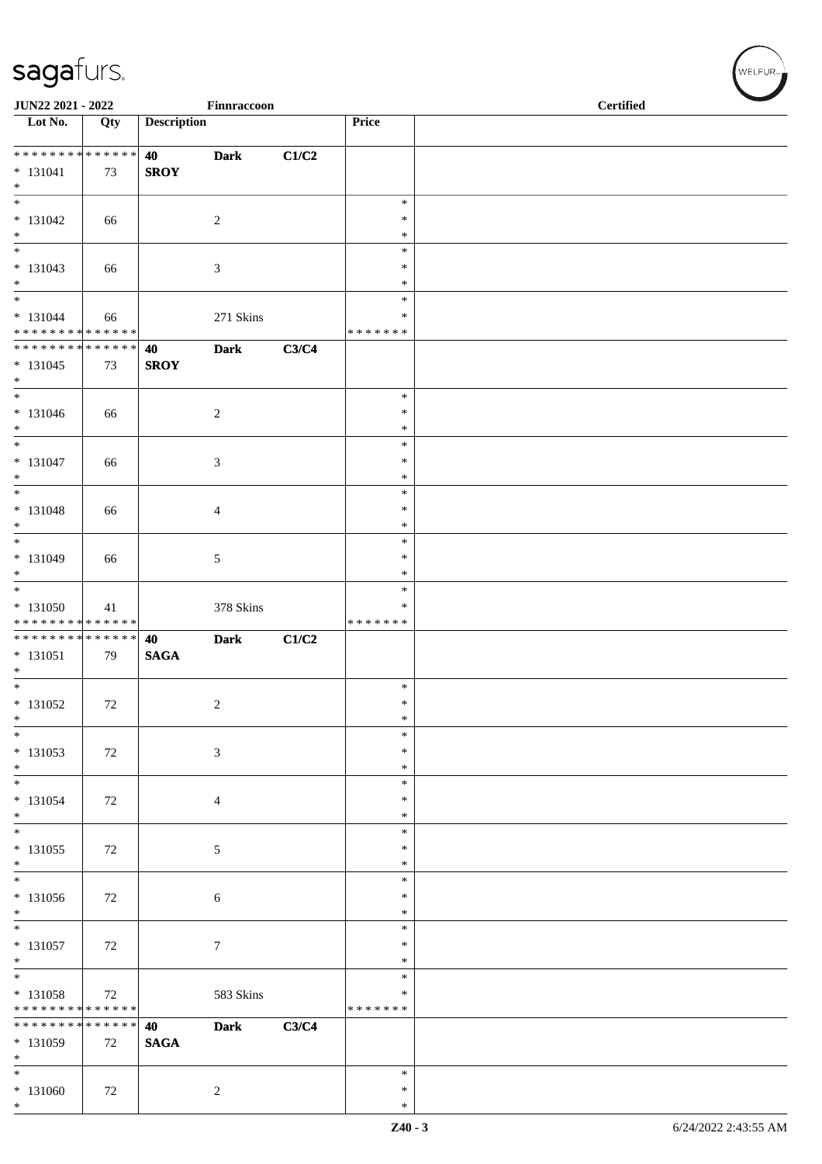| JUN22 2021 - 2022                                               |        |                    | Finnraccoon    |       |                                   | <b>Certified</b> |  |
|-----------------------------------------------------------------|--------|--------------------|----------------|-------|-----------------------------------|------------------|--|
| Lot No.                                                         | Qty    | <b>Description</b> |                |       | Price                             |                  |  |
| $* 131041$<br>$\ast$                                            | 73     | 40<br><b>SROY</b>  | <b>Dark</b>    | C1/C2 |                                   |                  |  |
| $\overline{\phantom{0}}$<br>$* 131042$<br>$\ast$                | 66     |                    | $\sqrt{2}$     |       | $\ast$<br>$\ast$<br>$\ast$        |                  |  |
| $\overline{\phantom{0}}$<br>$* 131043$<br>$*$                   | 66     |                    | $\sqrt{3}$     |       | $\ast$<br>$\ast$<br>$\ast$        |                  |  |
| $\overline{\ast}$<br>$* 131044$<br>* * * * * * * * * * * * * *  | 66     |                    | 271 Skins      |       | $\ast$<br>$\ast$<br>* * * * * * * |                  |  |
| ******** <mark>******</mark><br>$* 131045$<br>$*$               | 73     | 40<br><b>SROY</b>  | <b>Dark</b>    | C3/C4 |                                   |                  |  |
| $\overline{\phantom{0}}$<br>$* 131046$<br>$\ast$                | 66     |                    | $\overline{c}$ |       | $\ast$<br>$\ast$<br>$\ast$        |                  |  |
| $\overline{\ }$<br>$* 131047$<br>$*$                            | 66     |                    | $\mathfrak{Z}$ |       | $\ast$<br>$\ast$<br>$\ast$        |                  |  |
| $\overline{\phantom{0}}$<br>$* 131048$<br>$*$                   | 66     |                    | $\overline{4}$ |       | $\ast$<br>$\ast$<br>$\ast$        |                  |  |
| $*$<br>$* 131049$<br>$*$                                        | 66     |                    | $\sqrt{5}$     |       | $\ast$<br>$\ast$<br>$\ast$        |                  |  |
| $*$<br>$* 131050$<br>* * * * * * * * <mark>* * * * * * *</mark> | 41     |                    | 378 Skins      |       | $\ast$<br>$\ast$<br>* * * * * * * |                  |  |
| ******** <mark>******</mark><br>$* 131051$<br>$*$               | 79     | 40<br><b>SAGA</b>  | <b>Dark</b>    | C1/C2 |                                   |                  |  |
| $\overline{\ast}$<br>* 131052<br>$\ast$                         | 72     |                    | 2              |       | $\ast$<br>$\ast$<br>$\ast$        |                  |  |
| $\ast$<br>$* 131053$<br>$\ast$                                  | 72     |                    | $\sqrt{3}$     |       | $\ast$<br>$\ast$<br>$\ast$        |                  |  |
| $\overline{\ast}$<br>$* 131054$<br>$*$                          | 72     |                    | $\overline{4}$ |       | $\ast$<br>$\ast$<br>$\ast$        |                  |  |
| $*$<br>$* 131055$<br>$*$                                        | $72\,$ |                    | $\sqrt{5}$     |       | $\ast$<br>$\ast$<br>$\ast$        |                  |  |
| $\ast$<br>$* 131056$<br>$*$                                     | 72     |                    | $\sqrt{6}$     |       | $\ast$<br>$\ast$<br>$\ast$        |                  |  |
| $\overline{\phantom{0}}$<br>$* 131057$<br>$\ast$                | 72     |                    | $\tau$         |       | $\ast$<br>$\ast$<br>$\ast$        |                  |  |
| $*$<br>* 131058<br>* * * * * * * * * * * * * *                  | 72     |                    | 583 Skins      |       | $\ast$<br>$\ast$<br>* * * * * * * |                  |  |
| * * * * * * * * * * * * * * *<br>* 131059<br>$\ast$             | 72     | 40<br><b>SAGA</b>  | <b>Dark</b>    | C3/C4 |                                   |                  |  |
| $\overline{\phantom{0}}$<br>$* 131060$<br>$*$                   | 72     |                    | $\overline{c}$ |       | $\ast$<br>$\ast$<br>$\ast$        |                  |  |

 $(w$ ELFUR<sub>m</sub>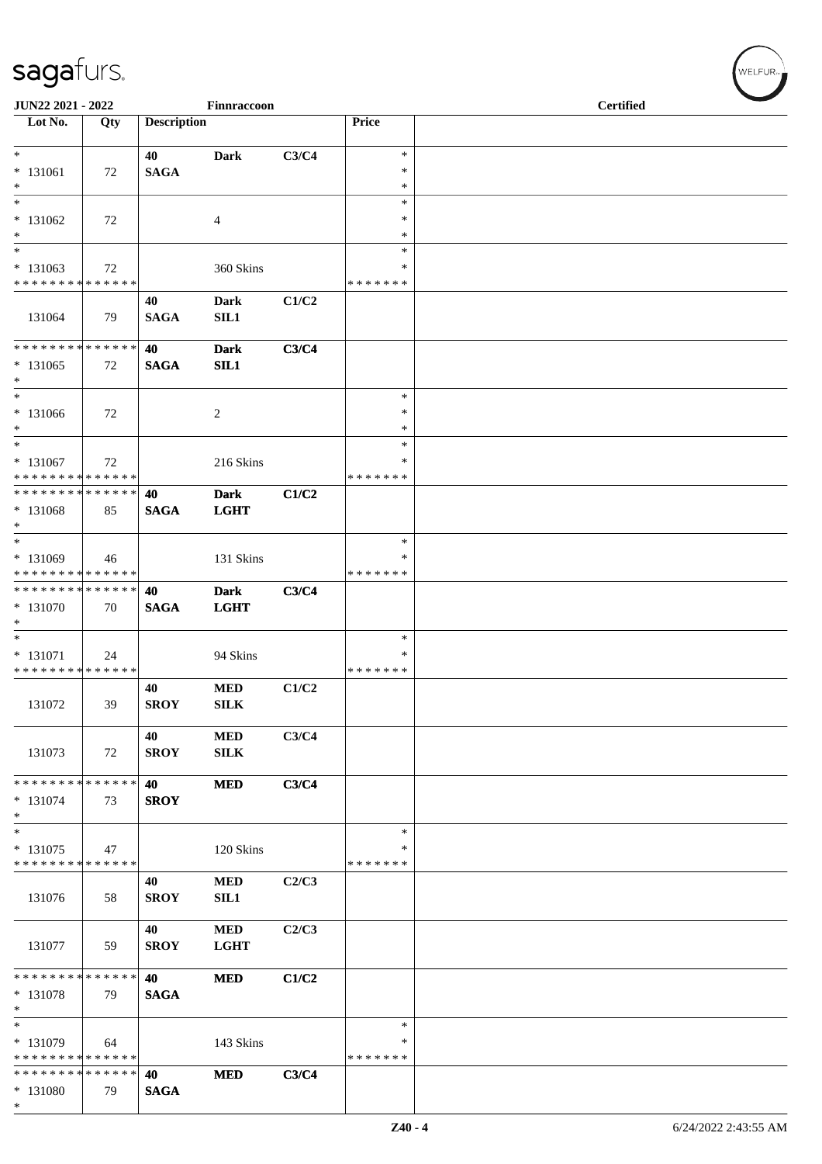| JUN22 2021 - 2022                         |     |                    | Finnraccoon                |       |                    | <b>Certified</b> |  |
|-------------------------------------------|-----|--------------------|----------------------------|-------|--------------------|------------------|--|
| Lot No.                                   | Qty | <b>Description</b> |                            |       | Price              |                  |  |
| $*$                                       |     | 40                 | <b>Dark</b>                | C3/C4 | $\ast$             |                  |  |
| $* 131061$                                | 72  | <b>SAGA</b>        |                            |       | $\ast$             |                  |  |
| $*$<br>$\ast$                             |     |                    |                            |       | $\ast$             |                  |  |
| $* 131062$                                | 72  |                    | 4                          |       | $\ast$<br>∗        |                  |  |
| $*$                                       |     |                    |                            |       | $\ast$             |                  |  |
| $*$                                       |     |                    |                            |       | $\ast$             |                  |  |
| $* 131063$<br>* * * * * * * * * * * * * * | 72  |                    | 360 Skins                  |       | *<br>* * * * * * * |                  |  |
|                                           |     | 40                 | <b>Dark</b>                | C1/C2 |                    |                  |  |
| 131064                                    | 79  | <b>SAGA</b>        | SIL1                       |       |                    |                  |  |
| * * * * * * * * * * * * * *               |     | 40                 | <b>Dark</b>                | C3/C4 |                    |                  |  |
| $* 131065$<br>$\ast$                      | 72  | <b>SAGA</b>        | SL1                        |       |                    |                  |  |
| $*$                                       |     |                    |                            |       | $\ast$             |                  |  |
| * 131066<br>$*$                           | 72  |                    | $\overline{c}$             |       | $\ast$<br>*        |                  |  |
| $*$                                       |     |                    |                            |       | $\ast$             |                  |  |
| $* 131067$                                | 72  |                    | 216 Skins                  |       | ∗                  |                  |  |
| * * * * * * * * * * * * * *               |     |                    |                            |       | * * * * * * *      |                  |  |
| * * * * * * * * * * * * * * *<br>* 131068 | 85  | 40<br><b>SAGA</b>  | <b>Dark</b><br><b>LGHT</b> | C1/C2 |                    |                  |  |
| $*$                                       |     |                    |                            |       |                    |                  |  |
| $\ast$                                    |     |                    |                            |       | $\ast$             |                  |  |
| $* 131069$<br>* * * * * * * * * * * * * * | 46  |                    | 131 Skins                  |       | ∗<br>* * * * * * * |                  |  |
| * * * * * * * * * * * * * *               |     | 40                 | <b>Dark</b>                | C3/C4 |                    |                  |  |
| * 131070                                  | 70  | <b>SAGA</b>        | <b>LGHT</b>                |       |                    |                  |  |
| $*$<br>$*$                                |     |                    |                            |       |                    |                  |  |
| * 131071                                  | 24  |                    | 94 Skins                   |       | $\ast$<br>∗        |                  |  |
| * * * * * * * * * * * * * *               |     |                    |                            |       | * * * * * * *      |                  |  |
|                                           |     | 40                 | <b>MED</b>                 | C1/C2 |                    |                  |  |
| 131072                                    | 39  | <b>SROY</b>        | ${\bf SILK}$               |       |                    |                  |  |
|                                           |     | 40                 | $\bf MED$                  | C3/C4 |                    |                  |  |
| 131073                                    | 72  | <b>SROY</b>        | SILK                       |       |                    |                  |  |
| * * * * * * * * * * * * * * *             |     | 40                 | <b>MED</b>                 | C3/C4 |                    |                  |  |
| $* 131074$                                | 73  | <b>SROY</b>        |                            |       |                    |                  |  |
| $*$                                       |     |                    |                            |       |                    |                  |  |
| $*$                                       |     |                    |                            |       | $\ast$<br>$\ast$   |                  |  |
| $* 131075$<br>* * * * * * * * * * * * * * | 47  |                    | 120 Skins                  |       | * * * * * * *      |                  |  |
|                                           |     | 40                 | <b>MED</b>                 | C2/C3 |                    |                  |  |
| 131076                                    | 58  | <b>SROY</b>        | SL1                        |       |                    |                  |  |
|                                           |     | 40                 | $\bf MED$                  | C2/C3 |                    |                  |  |
| 131077                                    | 59  | <b>SROY</b>        | <b>LGHT</b>                |       |                    |                  |  |
|                                           |     |                    |                            |       |                    |                  |  |
| * * * * * * * * * * * * * * *<br>* 131078 | 79  | 40<br><b>SAGA</b>  | <b>MED</b>                 | C1/C2 |                    |                  |  |
| $*$                                       |     |                    |                            |       |                    |                  |  |
| $\overline{\phantom{1}}$                  |     |                    |                            |       | $\ast$             |                  |  |
| * 131079<br>* * * * * * * * * * * * * *   | 64  |                    | 143 Skins                  |       | ∗<br>* * * * * * * |                  |  |
| * * * * * * * * * * * * * *               |     | 40                 | <b>MED</b>                 | C3/C4 |                    |                  |  |
| * 131080                                  | 79  | <b>SAGA</b>        |                            |       |                    |                  |  |
| $*$                                       |     |                    |                            |       |                    |                  |  |

WELFUR<sub>\*</sub>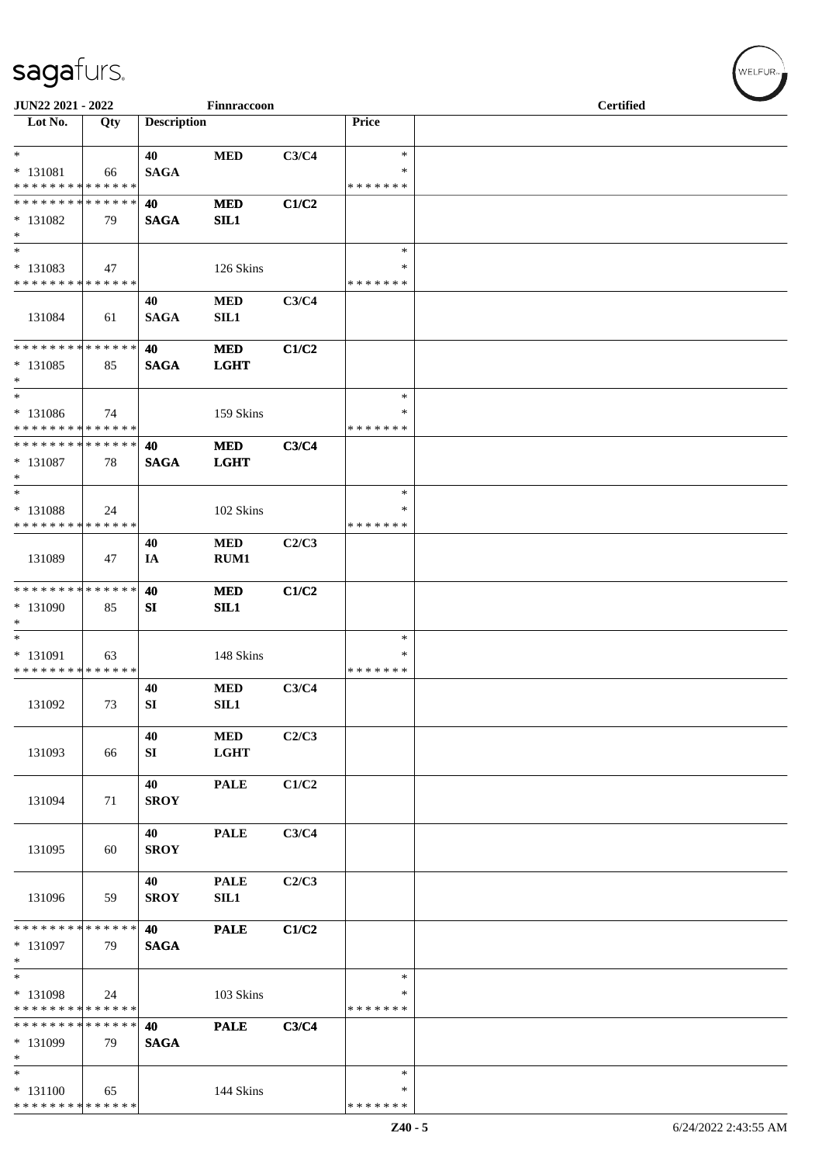| JUN22 2021 - 2022                                                     |     |                    | Finnraccoon               |       |                                   | <b>Certified</b> |  |
|-----------------------------------------------------------------------|-----|--------------------|---------------------------|-------|-----------------------------------|------------------|--|
| Lot No.                                                               | Qty | <b>Description</b> |                           |       | Price                             |                  |  |
| $\ast$<br>$* 131081$<br>* * * * * * * * * * * * * *                   | 66  | 40<br><b>SAGA</b>  | <b>MED</b>                | C3/C4 | $\ast$<br>$\ast$<br>* * * * * * * |                  |  |
| * * * * * * * * * * * * * *<br>* 131082<br>$\ast$                     | 79  | 40<br><b>SAGA</b>  | <b>MED</b><br>SIL1        | C1/C2 |                                   |                  |  |
| $\ast$<br>* 131083<br>* * * * * * * * * * * * * *                     | 47  |                    | 126 Skins                 |       | $\ast$<br>∗<br>* * * * * * *      |                  |  |
| 131084                                                                | 61  | 40<br><b>SAGA</b>  | <b>MED</b><br>SL1         | C3/C4 |                                   |                  |  |
| * * * * * * * * * * * * * *<br>$* 131085$<br>$\ast$                   | 85  | 40<br><b>SAGA</b>  | <b>MED</b><br><b>LGHT</b> | C1/C2 |                                   |                  |  |
| $\overline{\phantom{a}}$<br>* 131086<br>* * * * * * * * * * * * * *   | 74  |                    | 159 Skins                 |       | $\ast$<br>*<br>* * * * * * *      |                  |  |
| **************<br>* 131087<br>$\ast$                                  | 78  | 40<br><b>SAGA</b>  | <b>MED</b><br><b>LGHT</b> | C3/C4 |                                   |                  |  |
| $\ast$<br>* 131088<br>* * * * * * * * * * * * * *                     | 24  |                    | 102 Skins                 |       | $\ast$<br>∗<br>* * * * * * *      |                  |  |
| 131089                                                                | 47  | 40<br>IA           | $\bf MED$<br>RUM1         | C2/C3 |                                   |                  |  |
| **************<br>* 131090<br>$\ast$                                  | 85  | 40<br>SI           | <b>MED</b><br>SL1         | C1/C2 |                                   |                  |  |
| $\ast$<br>* 131091<br>* * * * * * * * * * * * * *                     | 63  |                    | 148 Skins                 |       | $\ast$<br>$\ast$<br>* * * * * * * |                  |  |
| 131092                                                                | 73  | 40<br>SI           | <b>MED</b><br>SIL1        | C3/C4 |                                   |                  |  |
| 131093                                                                | 66  | 40<br>SI           | $\bf MED$<br><b>LGHT</b>  | C2/C3 |                                   |                  |  |
| 131094                                                                | 71  | 40<br><b>SROY</b>  | <b>PALE</b>               | C1/C2 |                                   |                  |  |
| 131095                                                                | 60  | 40<br><b>SROY</b>  | <b>PALE</b>               | C3/C4 |                                   |                  |  |
| 131096                                                                | 59  | 40<br><b>SROY</b>  | <b>PALE</b><br>SIL1       | C2/C3 |                                   |                  |  |
| * * * * * * * * * * * * * *<br>$* 131097$<br>$\ast$                   | 79  | 40<br><b>SAGA</b>  | <b>PALE</b>               | C1/C2 |                                   |                  |  |
| $\overline{\phantom{a}^*}$<br>* 131098<br>* * * * * * * * * * * * * * | 24  |                    | 103 Skins                 |       | $\ast$<br>∗<br>* * * * * * *      |                  |  |
| * * * * * * * * * * * * * *<br>* 131099<br>$\ast$                     | 79  | 40<br><b>SAGA</b>  | <b>PALE</b>               | C3/C4 |                                   |                  |  |
| $\ast$<br>$* 131100$<br>******** <mark>******</mark>                  | 65  |                    | 144 Skins                 |       | $\ast$<br>∗<br>* * * * * * *      |                  |  |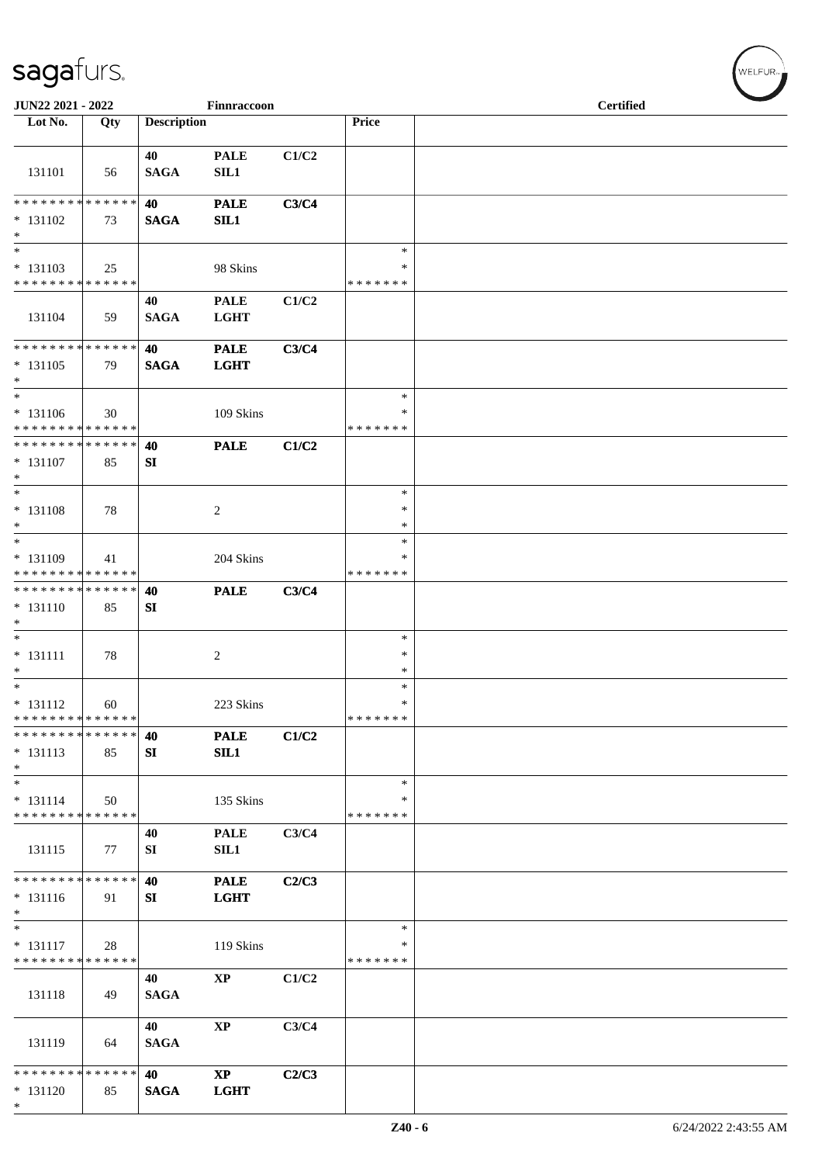| JUN22 2021 - 2022                                                     |     |                    | Finnraccoon                |       |                                   | <b>Certified</b> |  |
|-----------------------------------------------------------------------|-----|--------------------|----------------------------|-------|-----------------------------------|------------------|--|
| Lot No.                                                               | Qty | <b>Description</b> |                            |       | Price                             |                  |  |
| 131101                                                                | 56  | 40<br><b>SAGA</b>  | <b>PALE</b><br>SL1         | C1/C2 |                                   |                  |  |
| **************<br>$* 131102$                                          | 73  | 40<br><b>SAGA</b>  | <b>PALE</b><br>SL1         | C3/C4 |                                   |                  |  |
| $\ast$                                                                |     |                    |                            |       |                                   |                  |  |
| $\ast$<br>$* 131103$<br>* * * * * * * * * * * * * *                   | 25  |                    | 98 Skins                   |       | $\ast$<br>$\ast$<br>* * * * * * * |                  |  |
| 131104                                                                | 59  | 40<br><b>SAGA</b>  | <b>PALE</b><br><b>LGHT</b> | C1/C2 |                                   |                  |  |
| **************<br>$* 131105$<br>$\ast$                                | 79  | 40<br><b>SAGA</b>  | <b>PALE</b><br><b>LGHT</b> | C3/C4 |                                   |                  |  |
| $\ast$<br>$* 131106$<br>* * * * * * * * * * * * * *                   | 30  |                    | 109 Skins                  |       | $\ast$<br>∗<br>* * * * * * *      |                  |  |
| **************<br>$* 131107$<br>$\ast$<br>$\overline{\phantom{1}}$    | 85  | 40<br>SI           | <b>PALE</b>                | C1/C2 |                                   |                  |  |
| $* 131108$<br>$*$                                                     | 78  |                    | $\sqrt{2}$                 |       | $\ast$<br>$\ast$<br>$\ast$        |                  |  |
| $\ast$<br>$* 131109$<br>* * * * * * * * * * * * * *                   | 41  |                    | 204 Skins                  |       | $\ast$<br>$\ast$<br>* * * * * * * |                  |  |
| **************<br>$* 131110$<br>$\ast$                                | 85  | 40<br>SI           | <b>PALE</b>                | C3/C4 |                                   |                  |  |
| $\ast$<br>$* 131111$<br>$\ast$                                        | 78  |                    | $\overline{c}$             |       | $\ast$<br>$\ast$<br>$\ast$        |                  |  |
| $\ast$<br>$* 131112$<br>* * * * * * * * * * * * * *                   | 60  |                    | 223 Skins                  |       | $\ast$<br>$\ast$<br>* * * * * * * |                  |  |
| * * * * * * * * * * * * * *<br>$* 131113$<br>$\ast$                   | 85  | 40<br>SI           | <b>PALE</b><br>SL1         | C1/C2 |                                   |                  |  |
| $\overline{\phantom{0}}$<br>$* 131114$<br>* * * * * * * * * * * * * * | 50  |                    | 135 Skins                  |       | $\ast$<br>∗<br>* * * * * * *      |                  |  |
| 131115                                                                | 77  | 40<br>SI           | <b>PALE</b><br>SL1         | C3/C4 |                                   |                  |  |
| * * * * * * * * * * * * * *<br>$* 131116$<br>$\ast$                   | 91  | 40<br>SI           | <b>PALE</b><br><b>LGHT</b> | C2/C3 |                                   |                  |  |
| $\ast$<br>$* 131117$<br>* * * * * * * * * * * * * *                   | 28  |                    | 119 Skins                  |       | $\ast$<br>∗<br>* * * * * * *      |                  |  |
| 131118                                                                | 49  | 40<br><b>SAGA</b>  | <b>XP</b>                  | C1/C2 |                                   |                  |  |
| 131119                                                                | 64  | 40<br><b>SAGA</b>  | $\mathbf{X}\mathbf{P}$     | C3/C4 |                                   |                  |  |
| * * * * * * * * * * * * * *<br>$* 131120$<br>$*$                      | 85  | 40<br><b>SAGA</b>  | $\bold{XP}$<br><b>LGHT</b> | C2/C3 |                                   |                  |  |

WELFUR<sub>\*</sub>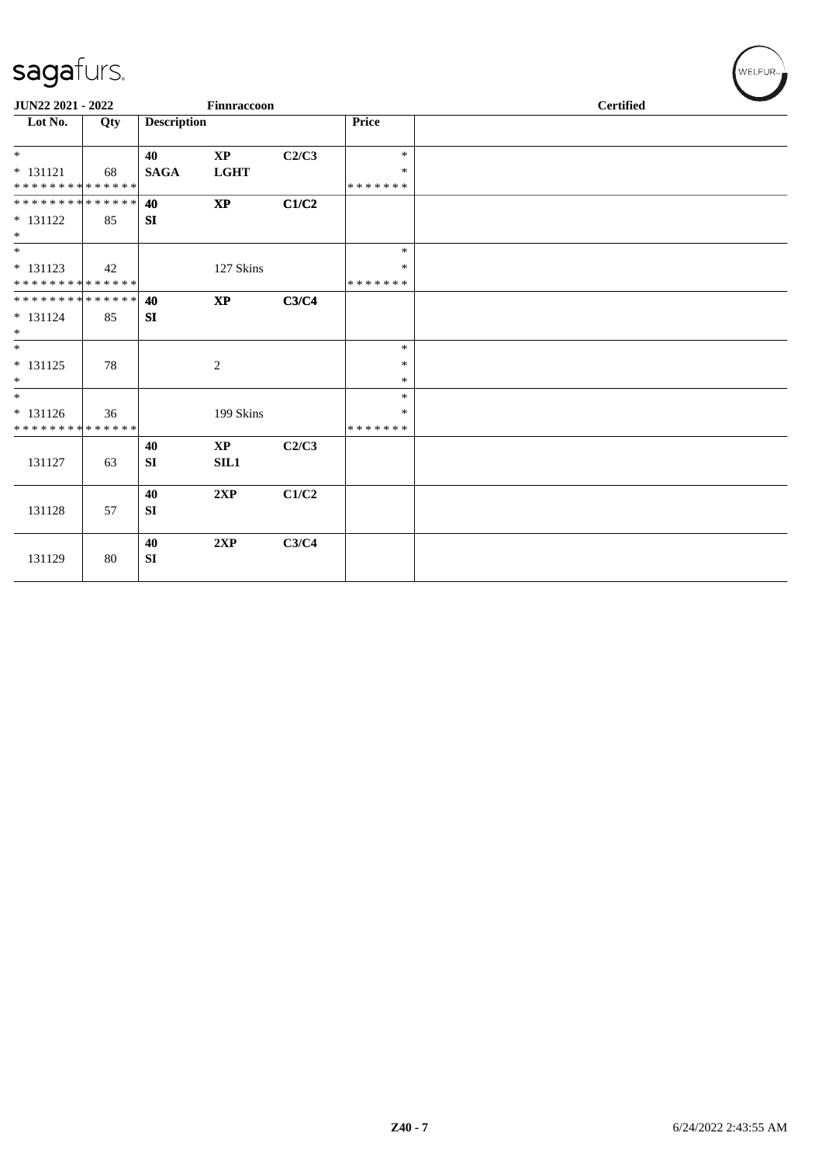| -                           |     |                    |                        |       |               |  |  |  |
|-----------------------------|-----|--------------------|------------------------|-------|---------------|--|--|--|
| JUN22 2021 - 2022           |     |                    | Finnraccoon            |       |               |  |  |  |
| Lot No.                     | Qty | <b>Description</b> |                        |       | Price         |  |  |  |
| $\ast$                      |     | 40                 | $\mathbf{X}\mathbf{P}$ | C2/C3 | $\ast$        |  |  |  |
| $* 131121$                  | 68  | <b>SAGA</b>        | <b>LGHT</b>            |       | *             |  |  |  |
| **************              |     |                    |                        |       | * * * * * * * |  |  |  |
| **************              |     | 40                 | $\bold{XP}$            | C1/C2 |               |  |  |  |
| $* 131122$                  | 85  | SI                 |                        |       |               |  |  |  |
| $*$                         |     |                    |                        |       |               |  |  |  |
| $\overline{\phantom{0}}$    |     |                    |                        |       | $\ast$        |  |  |  |
| $* 131123$                  | 42  |                    | 127 Skins              |       | $\ast$        |  |  |  |
| **************              |     |                    |                        |       | * * * * * * * |  |  |  |
| **************              |     | 40                 | $\bold{XP}$            | C3/C4 |               |  |  |  |
| $* 131124$                  | 85  | SI                 |                        |       |               |  |  |  |
| $\ast$                      |     |                    |                        |       |               |  |  |  |
| $\ast$                      |     |                    |                        |       | $\ast$        |  |  |  |
| $* 131125$                  | 78  |                    | 2                      |       | $\ast$        |  |  |  |
| $\ast$                      |     |                    |                        |       | $\ast$        |  |  |  |
| $*$                         |     |                    |                        |       | *             |  |  |  |
| $* 131126$                  | 36  |                    | 199 Skins              |       | $\ast$        |  |  |  |
| * * * * * * * * * * * * * * |     |                    |                        |       | *******       |  |  |  |
|                             |     | 40                 | $\mathbf{X}\mathbf{P}$ | C2/C3 |               |  |  |  |
| 131127                      | 63  | SI                 | SL1                    |       |               |  |  |  |
|                             |     |                    |                        |       |               |  |  |  |
|                             |     | 40                 | 2XP                    | C1/C2 |               |  |  |  |
| 131128                      | 57  | SI                 |                        |       |               |  |  |  |
|                             |     |                    |                        |       |               |  |  |  |
|                             |     | 40                 | 2XP                    | C3/C4 |               |  |  |  |
| 131129                      | 80  | SI                 |                        |       |               |  |  |  |
|                             |     |                    |                        |       |               |  |  |  |

 $(\forall ELFUR_{\approx})$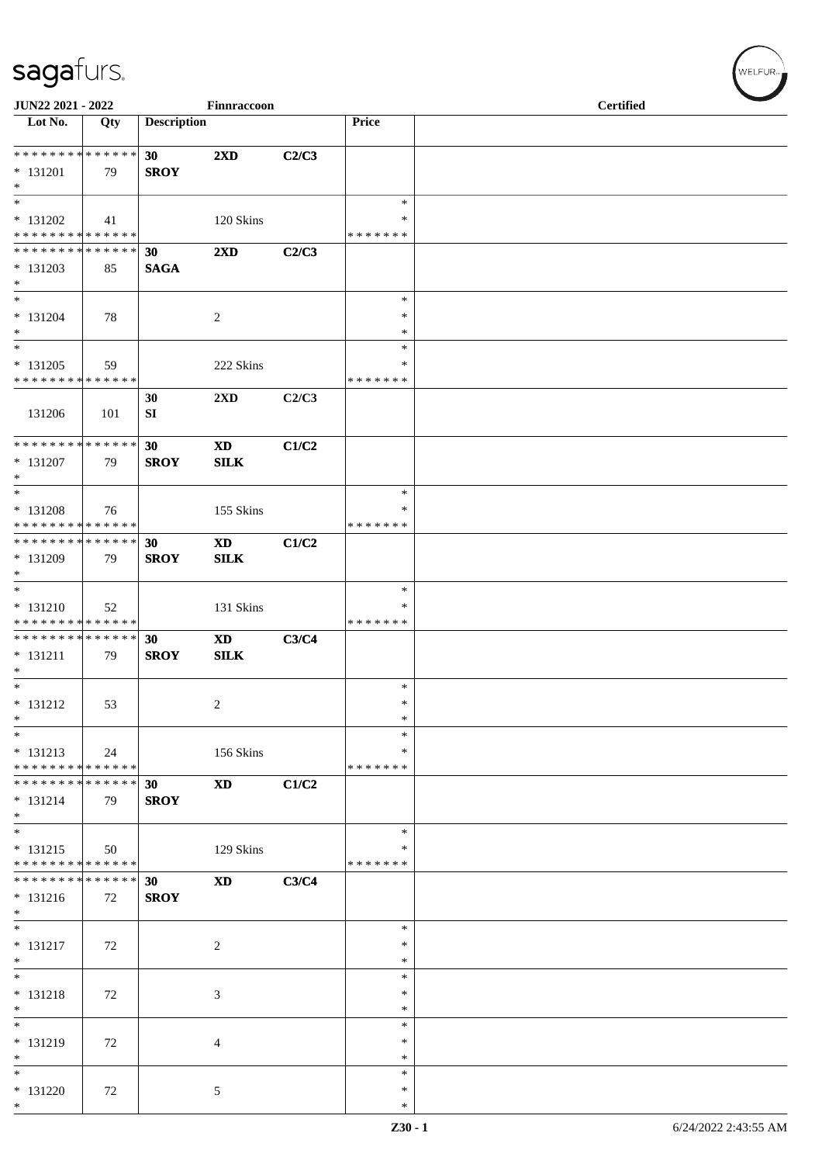| JUN22 2021 - 2022                                    |     |                                | Finnraccoon                               |       |                                   | <b>Certified</b> |
|------------------------------------------------------|-----|--------------------------------|-------------------------------------------|-------|-----------------------------------|------------------|
| $\overline{\phantom{1}}$ Lot No.                     | Qty | <b>Description</b>             |                                           |       | Price                             |                  |
| **************<br>$* 131201$                         | 79  | 30<br><b>SROY</b>              | 2XD                                       | C2/C3 |                                   |                  |
| $\ast$<br>$\ast$<br>$* 131202$                       | 41  |                                | 120 Skins                                 |       | $\ast$<br>$\ast$                  |                  |
| * * * * * * * * <mark>* * * * * * *</mark>           |     |                                |                                           |       | * * * * * * *                     |                  |
| ******** <mark>******</mark><br>$* 131203$<br>$\ast$ | 85  | 30<br><b>SAGA</b>              | 2XD                                       | C2/C3 |                                   |                  |
| $\ast$<br>$* 131204$<br>$\ast$                       | 78  |                                | $\overline{2}$                            |       | $\ast$<br>$\ast$<br>$\ast$        |                  |
| $\ast$<br>$* 131205$<br>* * * * * * * * * * * * * *  | 59  |                                | 222 Skins                                 |       | $\ast$<br>∗<br>* * * * * * *      |                  |
| 131206                                               | 101 | 30<br>SI                       | 2XD                                       | C2/C3 |                                   |                  |
| **************<br>$* 131207$<br>$\ast$               | 79  | 30<br><b>SROY</b>              | $\boldsymbol{\mathrm{XD}}$<br><b>SILK</b> | C1/C2 |                                   |                  |
| $\ast$<br>* 131208<br>* * * * * * * * * * * * * *    | 76  |                                | 155 Skins                                 |       | $\ast$<br>∗<br>* * * * * * *      |                  |
| **************<br>* 131209<br>$\ast$                 | 79  | 30<br><b>SROY</b>              | $\mathbf{X}\mathbf{D}$<br><b>SILK</b>     | C1/C2 |                                   |                  |
| $*$<br>$* 131210$<br>* * * * * * * * * * * * * *     | 52  |                                | 131 Skins                                 |       | $\ast$<br>$\ast$<br>* * * * * * * |                  |
| **************<br>$* 131211$<br>$\ast$               | 79  | 30<br><b>SROY</b>              | <b>XD</b><br>SLK                          | C3/C4 |                                   |                  |
| $\overline{\phantom{0}}$<br>$* 131212$<br>$\ast$     | 53  |                                | $\overline{c}$                            |       | $\ast$<br>$\ast$<br>$\ast$        |                  |
| $\ast$<br>$* 131213$<br>* * * * * * * * * * * * * *  | 24  |                                | 156 Skins                                 |       | $\ast$<br>∗<br>* * * * * * *      |                  |
| * * * * * * * * * * * * * *<br>$* 131214$<br>$*$     | 79  | 30<br><b>SROY</b>              | <b>XD</b>                                 | C1/C2 |                                   |                  |
| $\ast$<br>$* 131215$<br>* * * * * * * * * * * * * *  | 50  |                                | 129 Skins                                 |       | $\ast$<br>*<br>* * * * * * *      |                  |
| * * * * * * * * * * * * * *<br>$* 131216$<br>$\ast$  | 72  | 30 <sup>°</sup><br><b>SROY</b> | <b>XD</b>                                 | C3/C4 |                                   |                  |
| $\ast$<br>$* 131217$<br>$\ast$                       | 72  |                                | $\overline{c}$                            |       | $\ast$<br>∗<br>$\ast$             |                  |
| $\ast$<br>$* 131218$<br>$\ast$                       | 72  |                                | 3                                         |       | $\ast$<br>$\ast$<br>∗             |                  |
| $_{*}^{-}$<br>* 131219<br>$\ast$                     | 72  |                                | $\overline{4}$                            |       | $\ast$<br>$\ast$<br>$\ast$        |                  |
| $\ast$<br>$* 131220$<br>$\ast$                       | 72  |                                | 5                                         |       | $\ast$<br>∗<br>$\ast$             |                  |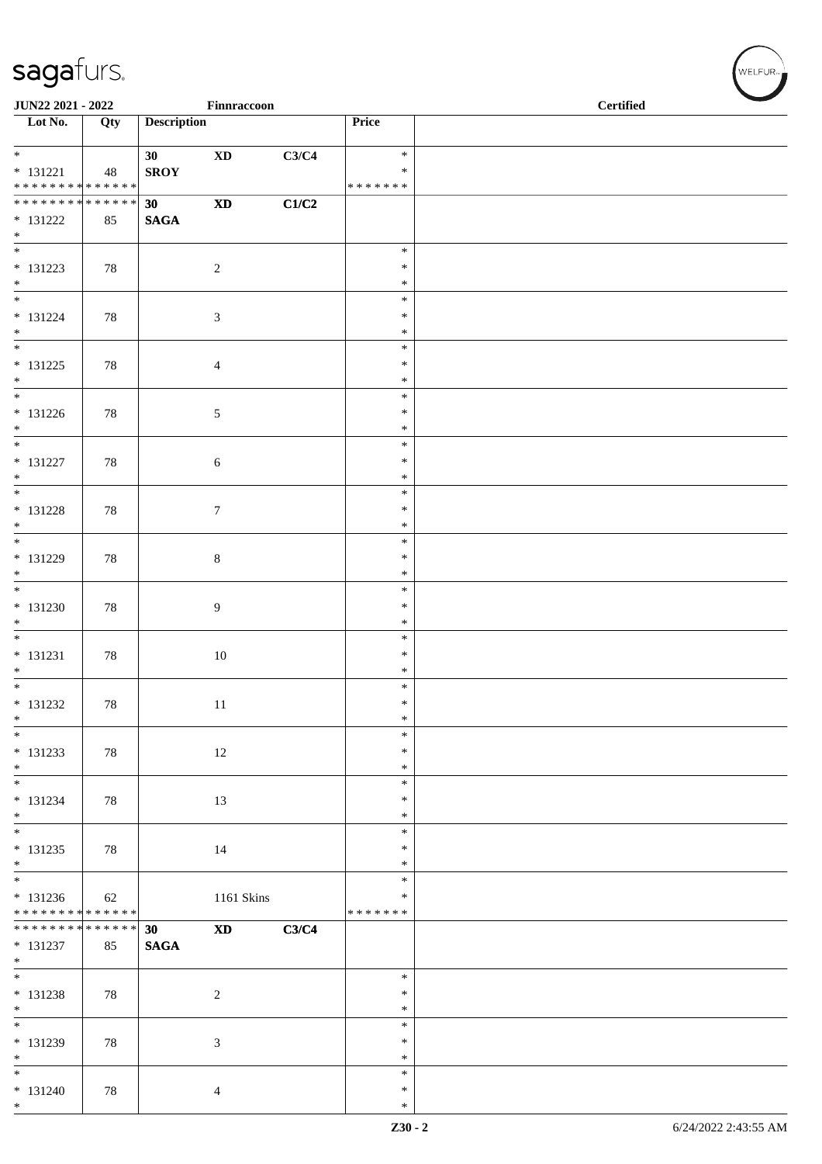| JUN22 2021 - 2022                                            |     |                    | Finnraccoon            |       |                         | <b>Certified</b> |
|--------------------------------------------------------------|-----|--------------------|------------------------|-------|-------------------------|------------------|
| $\overline{\phantom{1}}$ Lot No.                             | Qty | <b>Description</b> |                        |       | Price                   |                  |
| $*$                                                          |     | 30                 | $\mathbf{X}\mathbf{D}$ | C3/C4 | $\ast$                  |                  |
| $* 131221$<br>******** <mark>******</mark>                   | 48  | <b>SROY</b>        |                        |       | $\ast$<br>* * * * * * * |                  |
| ******** <mark>******</mark>                                 |     | 30                 | $\mathbf{X}\mathbf{D}$ | C1/C2 |                         |                  |
| $* 131222$                                                   | 85  | <b>SAGA</b>        |                        |       |                         |                  |
| $*$<br>$*$                                                   |     |                    |                        |       | $\ast$                  |                  |
| $* 131223$                                                   | 78  |                    | $\overline{c}$         |       | $\ast$                  |                  |
| $*$<br>$\overline{\phantom{0}}$                              |     |                    |                        |       | $\ast$                  |                  |
| $* 131224$                                                   | 78  |                    | $\mathfrak{Z}$         |       | $\ast$<br>$\ast$        |                  |
| $*$                                                          |     |                    |                        |       | $\ast$                  |                  |
| $\overline{\phantom{0}}$                                     |     |                    |                        |       | $\ast$<br>$\ast$        |                  |
| $* 131225$<br>$*$                                            | 78  |                    | $\overline{4}$         |       | $\ast$                  |                  |
| $\overline{\phantom{0}}$                                     |     |                    |                        |       | $\ast$                  |                  |
| $* 131226$<br>$*$                                            | 78  |                    | 5                      |       | $\ast$<br>$\ast$        |                  |
| $\overline{\ast}$                                            |     |                    |                        |       | $\ast$                  |                  |
| $* 131227$<br>$*$                                            | 78  |                    | 6                      |       | $\ast$<br>$\ast$        |                  |
|                                                              |     |                    |                        |       | $\ast$                  |                  |
| $* 131228$                                                   | 78  |                    | $\tau$                 |       | $\ast$                  |                  |
| $\ast$                                                       |     |                    |                        |       | $\ast$<br>$\ast$        |                  |
| $* 131229$                                                   | 78  |                    | $\,8\,$                |       | $\ast$                  |                  |
| $\ast$<br>$\overline{\phantom{0}}$                           |     |                    |                        |       | $\ast$<br>$\ast$        |                  |
| $* 131230$                                                   | 78  |                    | $\overline{9}$         |       | $\ast$                  |                  |
| $*$<br>$\overline{\phantom{0}}$                              |     |                    |                        |       | $\ast$                  |                  |
| $* 131231$                                                   | 78  |                    | $10\,$                 |       | $\ast$<br>$\ast$        |                  |
| $*$                                                          |     |                    |                        |       | $\ast$                  |                  |
| $* 131232$                                                   | 78  |                    | $11\,$                 |       | $\ast$<br>$\ast$        |                  |
| $\ast$                                                       |     |                    |                        |       | $\ast$                  |                  |
| $\ast$                                                       |     |                    |                        |       | $\ast$                  |                  |
| * 131233<br>$*$                                              | 78  |                    | 12                     |       | $\ast$<br>$\ast$        |                  |
| $\overline{\phantom{0}}$                                     |     |                    |                        |       | $\ast$                  |                  |
| * 131234<br>$*$                                              | 78  |                    | 13                     |       | $\ast$<br>$\ast$        |                  |
| $\overline{\phantom{0}}$                                     |     |                    |                        |       | $\ast$                  |                  |
| $* 131235$<br>$*$                                            | 78  |                    | 14                     |       | $\ast$<br>$\ast$        |                  |
| $\overline{\phantom{0}}$                                     |     |                    |                        |       | $\ast$                  |                  |
| $* 131236$                                                   | 62  |                    | 1161 Skins             |       | $\ast$                  |                  |
| ******** <mark>******</mark><br>******** <mark>******</mark> |     | 30                 | $\mathbf{X}\mathbf{D}$ | C3/C4 | * * * * * * *           |                  |
| $* 131237$                                                   | 85  | <b>SAGA</b>        |                        |       |                         |                  |
| $*$<br>$\overline{\phantom{0}}$                              |     |                    |                        |       | $\ast$                  |                  |
| $* 131238$                                                   | 78  |                    | $\sqrt{2}$             |       | $\ast$                  |                  |
| $*$<br>$\overline{\phantom{0}}$                              |     |                    |                        |       | $\ast$                  |                  |
| * 131239                                                     | 78  |                    | 3                      |       | $\ast$<br>$\ast$        |                  |
| $*$                                                          |     |                    |                        |       | $\ast$                  |                  |
| $*$                                                          |     |                    |                        |       | $\ast$<br>$\ast$        |                  |
| $* 131240$<br>$*$                                            | 78  |                    | 4                      |       | $\ast$                  |                  |

WELFUR<sub>"</sub>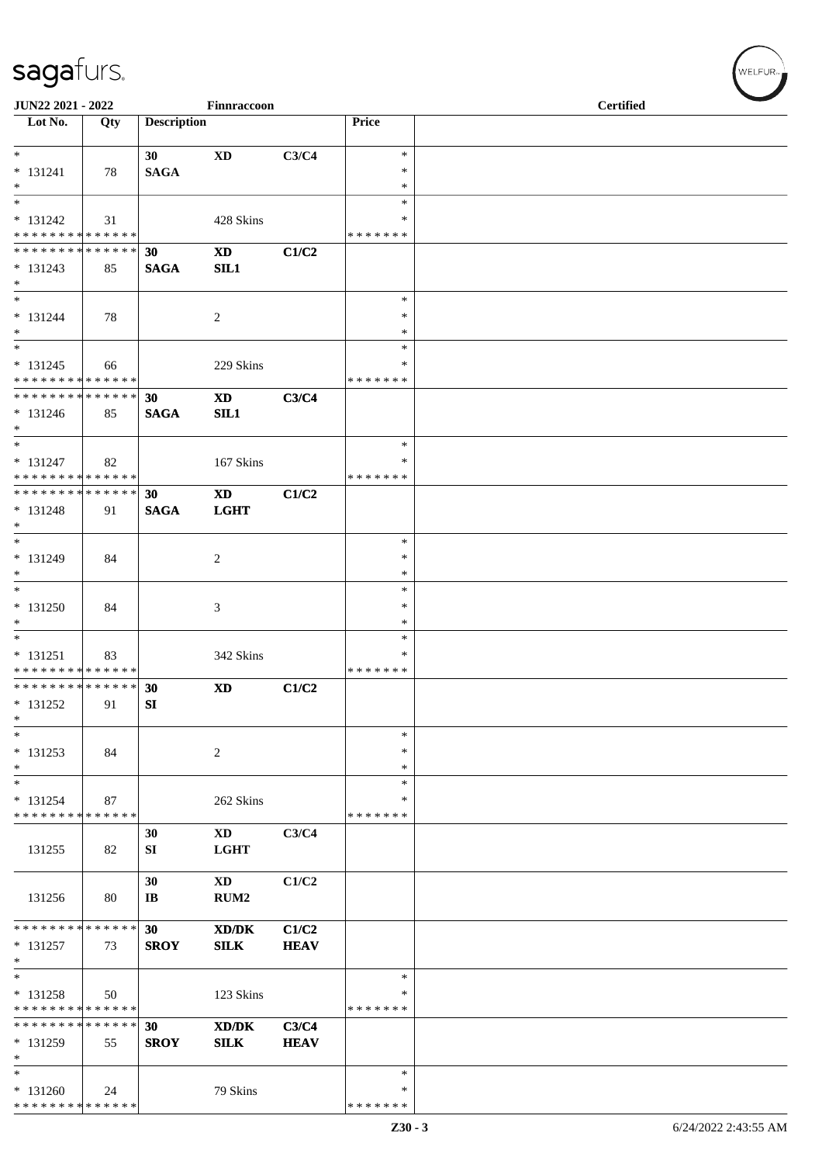| JUN22 2021 - 2022                                                     |     |                              | Finnraccoon                           |                      |                                   | <b>Certified</b> |  |
|-----------------------------------------------------------------------|-----|------------------------------|---------------------------------------|----------------------|-----------------------------------|------------------|--|
| $\overline{\text{Lot No.}}$                                           | Qty | <b>Description</b>           |                                       |                      | Price                             |                  |  |
| $\ast$<br>$* 131241$                                                  | 78  | 30<br><b>SAGA</b>            | $\mathbf{X}\mathbf{D}$                | C3/C4                | $\ast$<br>$\ast$                  |                  |  |
| $\ast$<br>$\overline{\ast}$                                           |     |                              |                                       |                      | $\ast$<br>$\ast$                  |                  |  |
| $* 131242$<br>* * * * * * * * * * * * * *                             | 31  |                              | 428 Skins                             |                      | $\ast$<br>* * * * * * *           |                  |  |
| **************<br>$* 131243$<br>$\ast$                                | 85  | 30<br><b>SAGA</b>            | <b>XD</b><br>SL1                      | C1/C2                |                                   |                  |  |
| $\overline{\phantom{a}^*}$                                            |     |                              |                                       |                      | $\ast$                            |                  |  |
| $* 131244$<br>$\ast$<br>$\overline{\phantom{a}^*}$                    | 78  |                              | $\overline{2}$                        |                      | ∗<br>$\ast$                       |                  |  |
| $* 131245$<br>* * * * * * * * * * * * * *                             | 66  |                              | 229 Skins                             |                      | $\ast$<br>∗<br>* * * * * * *      |                  |  |
| **************<br>$* 131246$<br>$*$                                   | 85  | 30<br><b>SAGA</b>            | <b>XD</b><br>SL1                      | C3/C4                |                                   |                  |  |
| $\ast$<br>$* 131247$<br>* * * * * * * * * * * * * *                   | 82  |                              | 167 Skins                             |                      | $\ast$<br>∗<br>* * * * * * *      |                  |  |
| ******** <mark>******</mark><br>$* 131248$<br>$*$                     | 91  | 30<br><b>SAGA</b>            | $\mathbf{X}\mathbf{D}$<br><b>LGHT</b> | C1/C2                |                                   |                  |  |
| $\ast$<br>* 131249<br>$\ast$                                          | 84  |                              | 2                                     |                      | $\ast$<br>$\ast$<br>$\ast$        |                  |  |
| $\ast$<br>* 131250<br>$\ast$                                          | 84  |                              | 3                                     |                      | $\ast$<br>∗<br>$\ast$             |                  |  |
| $\overline{\phantom{0}}$<br>$* 131251$<br>* * * * * * * * * * * * * * | 83  |                              | 342 Skins                             |                      | $\ast$<br>$\ast$<br>* * * * * * * |                  |  |
| **************<br>* 131252<br>$\ast$                                  | 91  | 30<br>SI                     | <b>XD</b>                             | C1/C2                |                                   |                  |  |
| $\ast$<br>$* 131253$<br>$\ast$                                        | 84  |                              | $\sqrt{2}$                            |                      | $\ast$<br>∗<br>$\ast$             |                  |  |
| $\ast$<br>$* 131254$<br>* * * * * * * * * * * * * *                   | 87  |                              | 262 Skins                             |                      | $\ast$<br>$\ast$<br>* * * * * * * |                  |  |
| 131255                                                                | 82  | 30<br>SI                     | XD<br><b>LGHT</b>                     | C3/C4                |                                   |                  |  |
| 131256                                                                | 80  | 30<br>$\mathbf{I}\mathbf{B}$ | <b>XD</b><br>RUM <sub>2</sub>         | C1/C2                |                                   |                  |  |
| * * * * * * * * * * * * * *<br>$* 131257$<br>$\ast$                   | 73  | 30<br><b>SROY</b>            | XD/DK<br><b>SILK</b>                  | C1/C2<br><b>HEAV</b> |                                   |                  |  |
| $\ast$<br>$* 131258$<br>* * * * * * * * * * * * * *                   | 50  |                              | 123 Skins                             |                      | $\ast$<br>∗<br>* * * * * * *      |                  |  |
| * * * * * * * * * * * * * *<br>* 131259<br>$\ast$                     | 55  | 30<br><b>SROY</b>            | XD/DK<br><b>SILK</b>                  | C3/C4<br><b>HEAV</b> |                                   |                  |  |
| $\ast$<br>$* 131260$<br>**************                                | 24  |                              | 79 Skins                              |                      | $\ast$<br>∗<br>* * * * * * *      |                  |  |

WELFUR-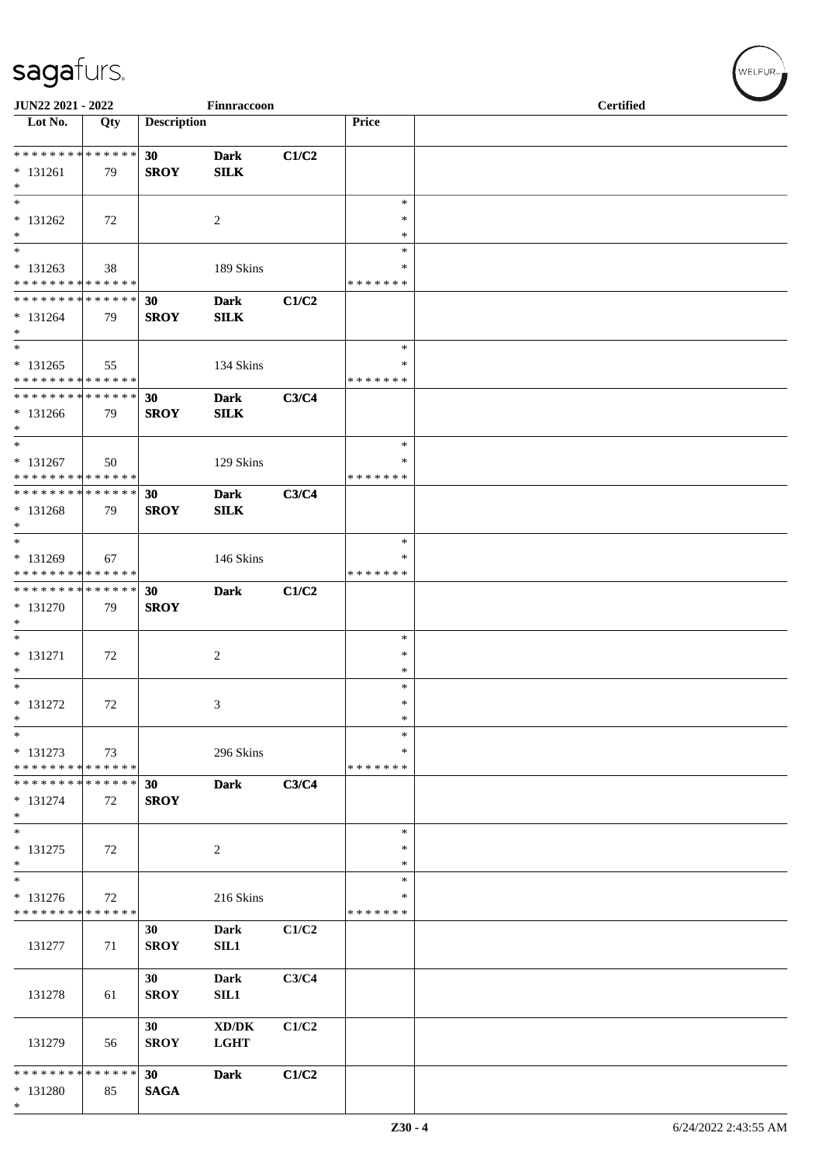| JUN22 2021 - 2022                                    |     |                    | Finnraccoon                |       |                                   | <b>Certified</b> |
|------------------------------------------------------|-----|--------------------|----------------------------|-------|-----------------------------------|------------------|
| Lot No.                                              | Qty | <b>Description</b> |                            |       | Price                             |                  |
| ******** <mark>******</mark><br>$* 131261$<br>$\ast$ | 79  | 30<br><b>SROY</b>  | <b>Dark</b><br><b>SILK</b> | C1/C2 |                                   |                  |
| $\ast$<br>$* 131262$<br>$\ast$                       | 72  |                    | $\overline{2}$             |       | $\ast$<br>$\ast$<br>$\ast$        |                  |
| $\ast$<br>$* 131263$<br>* * * * * * * * * * * * * *  | 38  |                    | 189 Skins                  |       | $\ast$<br>∗<br>* * * * * * *      |                  |
| * * * * * * * * * * * * * *<br>$* 131264$<br>$*$     | 79  | 30<br><b>SROY</b>  | <b>Dark</b><br><b>SILK</b> | C1/C2 |                                   |                  |
| $\ast$<br>$* 131265$<br>* * * * * * * * * * * * * *  | 55  |                    | 134 Skins                  |       | $\ast$<br>∗<br>* * * * * * *      |                  |
| * * * * * * * * * * * * * *<br>* 131266<br>$\ast$    | 79  | 30<br><b>SROY</b>  | <b>Dark</b><br><b>SILK</b> | C3/C4 |                                   |                  |
| $\ast$<br>$* 131267$<br>* * * * * * * * * * * * * *  | 50  |                    | 129 Skins                  |       | $\ast$<br>∗<br>* * * * * * *      |                  |
| * * * * * * * * * * * * * * *<br>$* 131268$<br>$*$   | 79  | 30<br><b>SROY</b>  | <b>Dark</b><br>SLK         | C3/C4 |                                   |                  |
| $\ast$<br>$* 131269$<br>* * * * * * * * * * * * * *  | 67  |                    | 146 Skins                  |       | $\ast$<br>∗<br>* * * * * * *      |                  |
| * * * * * * * * * * * * * *<br>* 131270<br>$*$       | 79  | 30<br><b>SROY</b>  | <b>Dark</b>                | C1/C2 |                                   |                  |
| $\ast$<br>$* 131271$<br>$\ast$                       | 72  |                    | $\overline{c}$             |       | $\ast$<br>$\ast$<br>$\ast$        |                  |
| $\overline{\ast}$<br>* 131272<br>$\ast$              | 72  |                    | 3                          |       | $\ast$<br>$\ast$<br>$\ast$        |                  |
| $\ast$<br>* 131273<br>* * * * * * * * * * * * * *    | 73  |                    | 296 Skins                  |       | $\ast$<br>∗<br>* * * * * * *      |                  |
| * * * * * * * * * * * * * *<br>$* 131274$<br>$*$     | 72  | 30<br><b>SROY</b>  | <b>Dark</b>                | C3/C4 |                                   |                  |
| $\ast$<br>$* 131275$<br>$*$                          | 72  |                    | $\sqrt{2}$                 |       | $\ast$<br>∗<br>$\ast$             |                  |
| $\ast$<br>* 131276<br>* * * * * * * * * * * * * *    | 72  |                    | 216 Skins                  |       | $\ast$<br>$\ast$<br>* * * * * * * |                  |
| 131277                                               | 71  | 30<br><b>SROY</b>  | <b>Dark</b><br>SL1         | C1/C2 |                                   |                  |
| 131278                                               | 61  | 30<br><b>SROY</b>  | <b>Dark</b><br><b>SIL1</b> | C3/C4 |                                   |                  |
| 131279                                               | 56  | 30<br><b>SROY</b>  | XD/DK<br><b>LGHT</b>       | C1/C2 |                                   |                  |
| * * * * * * * * * * * * * *<br>* 131280<br>$*$       | 85  | 30<br><b>SAGA</b>  | <b>Dark</b>                | C1/C2 |                                   |                  |

WELFUR<sub>\*</sub>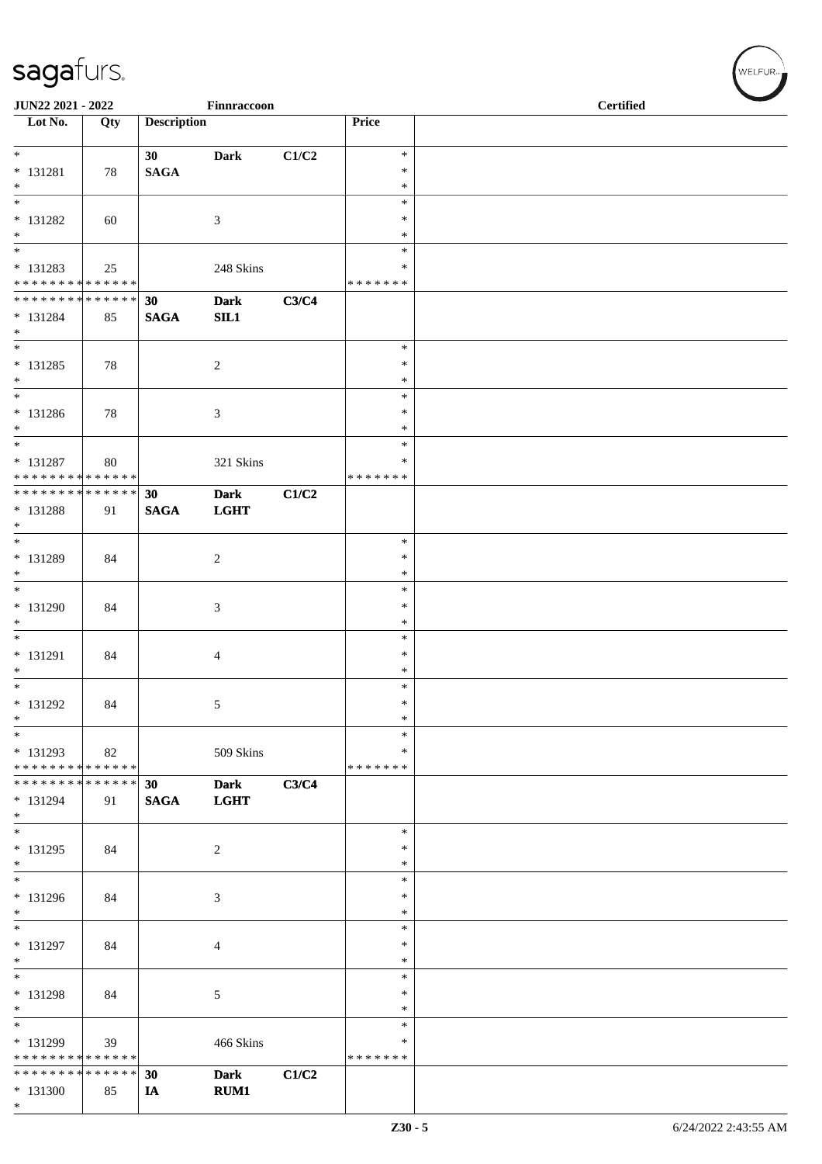|                                                              | JUN22 2021 - 2022<br>Finnraccoon |                    |                            |       |                    | <b>Certified</b> |
|--------------------------------------------------------------|----------------------------------|--------------------|----------------------------|-------|--------------------|------------------|
| $\overline{\phantom{1}}$ Lot No.                             | Qty                              | <b>Description</b> |                            |       | Price              |                  |
| $\overline{\phantom{0}}$                                     |                                  | 30                 | Dark                       | C1/C2 | $\ast$             |                  |
| $* 131281$                                                   | 78                               | <b>SAGA</b>        |                            |       | $\ast$             |                  |
| $*$<br>$\overline{\phantom{0}}$                              |                                  |                    |                            |       | $\ast$<br>$\ast$   |                  |
| $* 131282$                                                   | 60                               |                    | 3                          |       | $\ast$             |                  |
| $*$<br>$\overline{\phantom{0}}$                              |                                  |                    |                            |       | $\ast$<br>$\ast$   |                  |
| * 131283                                                     | 25                               |                    | 248 Skins                  |       | $\ast$             |                  |
| ******** <mark>******</mark><br>******** <mark>******</mark> |                                  | 30                 | <b>Dark</b>                | C3/C4 | * * * * * * *      |                  |
| * 131284<br>$*$                                              | 85                               | <b>SAGA</b>        | SL1                        |       |                    |                  |
| $\overline{\phantom{0}}$<br>$* 131285$                       | 78                               |                    | $\overline{c}$             |       | $\ast$<br>$\ast$   |                  |
| $*$                                                          |                                  |                    |                            |       | $\ast$             |                  |
| $\overline{\ast}$                                            |                                  |                    |                            |       | $\ast$<br>$\ast$   |                  |
| $* 131286$<br>$*$                                            | 78                               |                    | 3                          |       | $\ast$             |                  |
| $*$                                                          |                                  |                    |                            |       | $\ast$             |                  |
| $* 131287$<br>* * * * * * * * * * * * * *                    | 80                               |                    | 321 Skins                  |       | ∗<br>* * * * * * * |                  |
| ******** <mark>******</mark>                                 |                                  | 30                 | <b>Dark</b>                | C1/C2 |                    |                  |
| $* 131288$<br>$*$                                            | 91                               | <b>SAGA</b>        | <b>LGHT</b>                |       |                    |                  |
| $*$                                                          |                                  |                    |                            |       | $\ast$             |                  |
| $* 131289$                                                   | 84                               |                    | $\overline{c}$             |       | $\ast$             |                  |
| $*$<br>$\overline{\phantom{0}}$                              |                                  |                    |                            |       | $\ast$<br>$\ast$   |                  |
| * 131290                                                     | 84                               |                    | 3                          |       | $\ast$             |                  |
| $*$                                                          |                                  |                    |                            |       | $\ast$<br>$\ast$   |                  |
| * 131291                                                     | 84                               |                    | 4                          |       | $\ast$             |                  |
| $*$<br>$\overline{\ast}$                                     |                                  |                    |                            |       | $\ast$<br>$\ast$   |                  |
| $* 131292$                                                   | 84                               |                    | 5                          |       | $\ast$             |                  |
| $\ast$<br>$\ast$                                             |                                  |                    |                            |       | $\ast$<br>$\ast$   |                  |
| $* 131293$                                                   | 82                               |                    | 509 Skins                  |       | ∗                  |                  |
| * * * * * * * * * * * * * *                                  |                                  |                    |                            |       | *******            |                  |
| * * * * * * * * * * * * * * *<br>* 131294<br>$*$             | 91                               | 30<br><b>SAGA</b>  | <b>Dark</b><br><b>LGHT</b> | C3/C4 |                    |                  |
| $*$<br>$* 131295$                                            |                                  |                    |                            |       | $\ast$<br>$\ast$   |                  |
| $*$                                                          | 84                               |                    | 2                          |       | ∗                  |                  |
| $*$                                                          |                                  |                    |                            |       | $\ast$             |                  |
| * 131296<br>$\ast$                                           | 84                               |                    | 3                          |       | $\ast$<br>$\ast$   |                  |
| $\ast$                                                       |                                  |                    |                            |       | $\ast$             |                  |
| * 131297<br>$*$                                              | 84                               |                    | 4                          |       | ∗<br>$\ast$        |                  |
| $*$                                                          |                                  |                    |                            |       | $\ast$             |                  |
| $* 131298$<br>$*$                                            | 84                               |                    | 5                          |       | $\ast$<br>∗        |                  |
| $\overline{\phantom{0}}$                                     |                                  |                    |                            |       | $\ast$             |                  |
| * 131299                                                     | 39                               |                    | 466 Skins                  |       | ∗                  |                  |
| * * * * * * * * * * * * * *<br>* * * * * * * * * * * * * *   |                                  | 30                 | <b>Dark</b>                | C1/C2 | * * * * * * *      |                  |
| $* 131300$                                                   | 85                               | IA                 | <b>RUM1</b>                |       |                    |                  |
| $*$                                                          |                                  |                    |                            |       |                    |                  |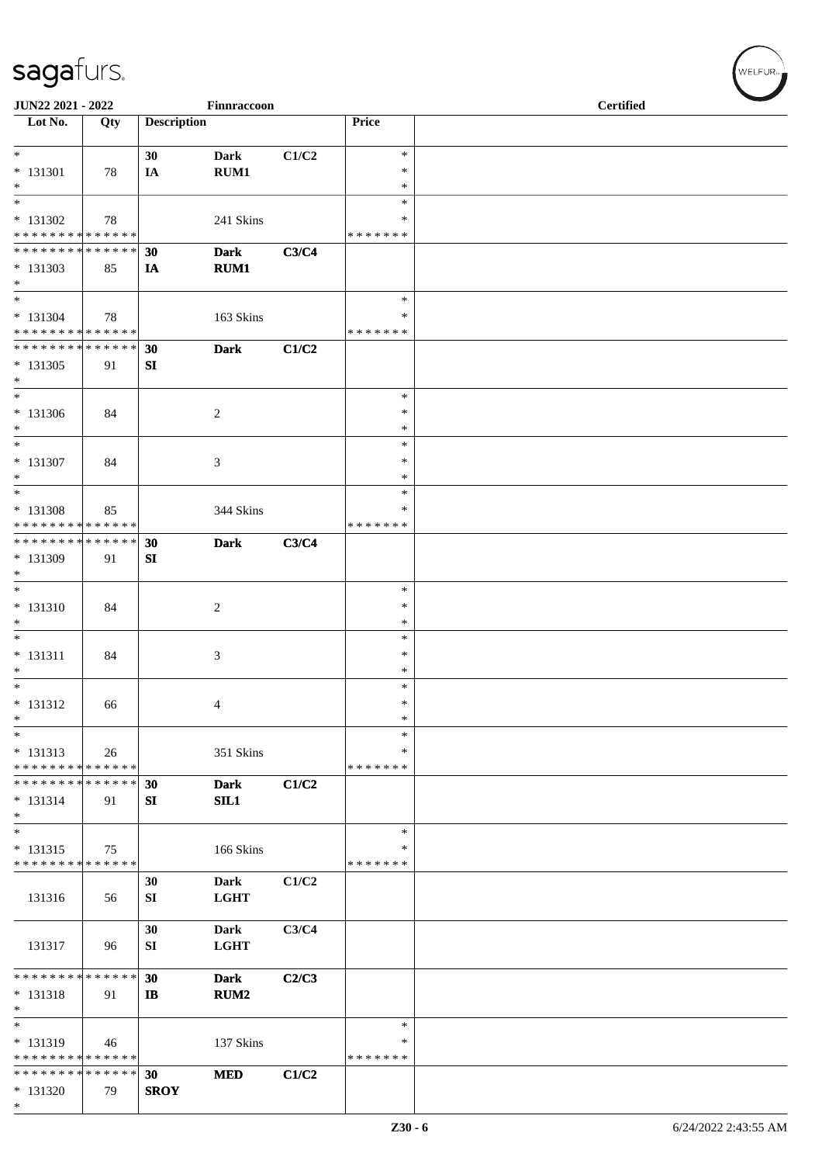| JUN22 2021 - 2022                                                               |     |                    | Finnraccoon                |       |                                 | <b>Certified</b> |  |
|---------------------------------------------------------------------------------|-----|--------------------|----------------------------|-------|---------------------------------|------------------|--|
| $\overline{\phantom{1}}$ Lot No.                                                | Qty | <b>Description</b> |                            |       | Price                           |                  |  |
| $* 131301$<br>$*$                                                               | 78  | 30<br>IA           | <b>Dark</b><br>RUM1        | C1/C2 | $\ast$<br>$\ast$<br>$\ast$      |                  |  |
| $\overline{\ }$<br>$* 131302$<br>* * * * * * * * * * * * * *                    | 78  |                    | 241 Skins                  |       | $\ast$<br>*<br>* * * * * * *    |                  |  |
| * * * * * * * * * * * * * *<br>$* 131303$<br>$*$                                | 85  | 30<br>IA           | <b>Dark</b><br><b>RUM1</b> | C3/C4 |                                 |                  |  |
| $*$<br>$* 131304$<br>* * * * * * * * * * * * * *                                | 78  |                    | 163 Skins                  |       | $\ast$<br>*<br>* * * * * * *    |                  |  |
| * * * * * * * * * * * * * * *<br>* 131305<br>$*$                                | 91  | 30<br>SI           | <b>Dark</b>                | C1/C2 |                                 |                  |  |
| $*$<br>* 131306<br>$*$<br>$*$                                                   | 84  |                    | $\overline{c}$             |       | $\ast$<br>$\ast$<br>$\ast$      |                  |  |
| * 131307<br>$*$<br>$\overline{\ast}$                                            | 84  |                    | 3                          |       | $\ast$<br>∗<br>$\ast$<br>$\ast$ |                  |  |
| * 131308<br>* * * * * * * * * * * * * *<br>******** <mark>******</mark>         | 85  |                    | 344 Skins                  |       | $\ast$<br>* * * * * * *         |                  |  |
| * 131309<br>$*$<br>$*$                                                          | 91  | 30<br>SI           | <b>Dark</b>                | C3/C4 | $\ast$                          |                  |  |
| * 131310<br>$\ast$<br>$*$                                                       | 84  |                    | $\overline{c}$             |       | ∗<br>$\ast$<br>$\ast$           |                  |  |
| $* 131311$<br>$\ast$<br>$*$                                                     | 84  |                    | 3                          |       | $\ast$<br>$\ast$<br>$\ast$      |                  |  |
| $* 131312$<br>$\ast$<br>$\ast$                                                  | 66  |                    | 4                          |       | $\ast$<br>$\ast$<br>*           |                  |  |
| $* 131313$<br>* * * * * * * * * * * * * *<br>* * * * * * * * * * * * * * *      | 26  |                    | 351 Skins                  |       | *<br>* * * * * * *              |                  |  |
| $* 131314$<br>$*$<br>$*$                                                        | 91  | 30<br>SI           | <b>Dark</b><br>SL1         | C1/C2 | $\ast$                          |                  |  |
| $* 131315$<br>* * * * * * * * * * * * * *                                       | 75  |                    | 166 Skins                  | C1/C2 | ∗<br>* * * * * * *              |                  |  |
| 131316                                                                          | 56  | 30<br>SI           | Dark<br><b>LGHT</b>        |       |                                 |                  |  |
| 131317                                                                          | 96  | 30<br>SI           | Dark<br><b>LGHT</b>        | C3/C4 |                                 |                  |  |
| * * * * * * * * * * * * * *<br>$* 131318$<br>$\ast$<br>$\overline{\phantom{0}}$ | 91  | 30<br>$\mathbf{I}$ | <b>Dark</b><br><b>RUM2</b> | C2/C3 |                                 |                  |  |
| * 131319<br>* * * * * * * * * * * * * *                                         | 46  |                    | 137 Skins                  |       | $\ast$<br>*<br>* * * * * * *    |                  |  |
| * * * * * * * * * * * * * *<br>$*131320$<br>$*$                                 | 79  | 30<br><b>SROY</b>  | <b>MED</b>                 | C1/C2 |                                 |                  |  |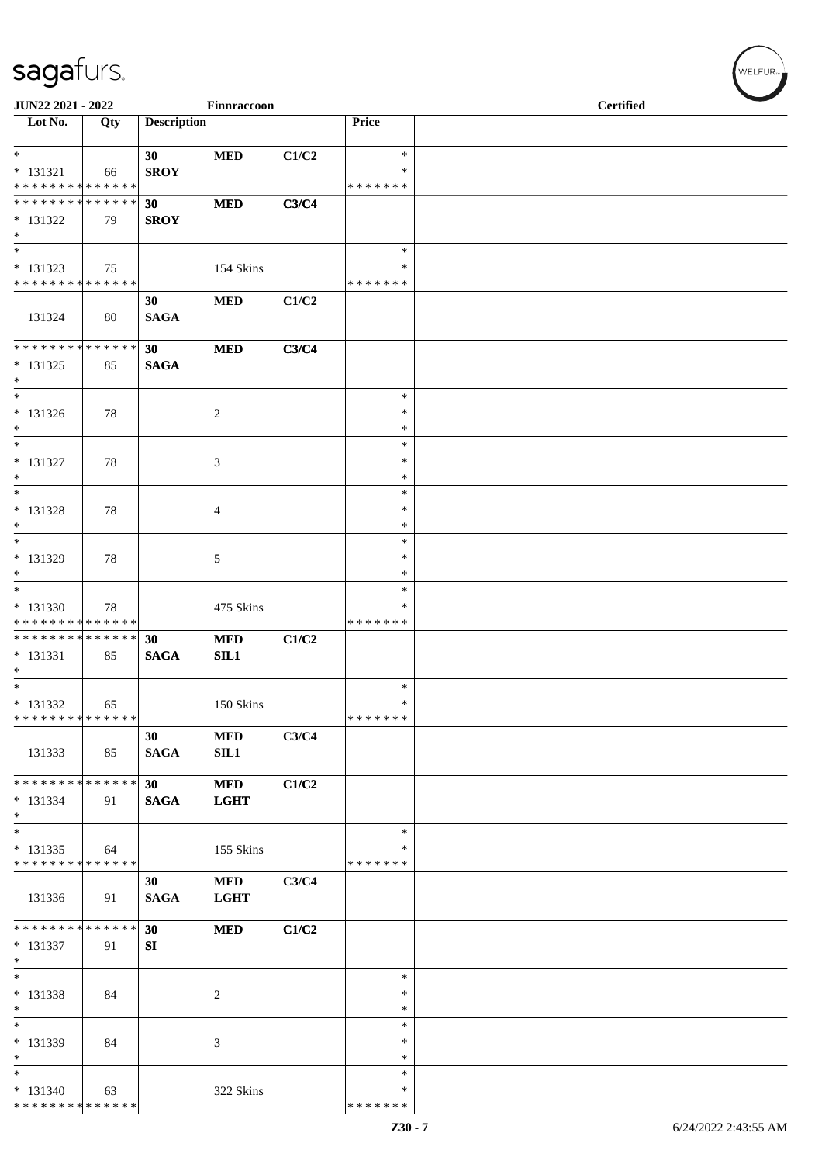| JUN22 2021 - 2022                                                               |     |                                | Finnraccoon               |       |                                   | <b>Certified</b> |  |  |  |  |
|---------------------------------------------------------------------------------|-----|--------------------------------|---------------------------|-------|-----------------------------------|------------------|--|--|--|--|
| $\overline{\phantom{1}}$ Lot No.                                                | Qty | <b>Description</b>             |                           |       | Price                             |                  |  |  |  |  |
| $*$<br>$* 131321$                                                               | 66  | 30<br><b>SROY</b>              | $\bf MED$                 | C1/C2 | $\ast$<br>$\ast$                  |                  |  |  |  |  |
| * * * * * * * * * * * * * *<br>******** <mark>******</mark><br>$* 131322$       | 79  | 30 <sup>°</sup><br><b>SROY</b> | <b>MED</b>                | C3/C4 | * * * * * * *                     |                  |  |  |  |  |
| $\ast$<br>$\overline{\phantom{1}}$<br>$* 131323$<br>* * * * * * * * * * * * * * | 75  |                                | 154 Skins                 |       | $\ast$<br>$\ast$<br>* * * * * * * |                  |  |  |  |  |
| 131324                                                                          | 80  | 30<br><b>SAGA</b>              | <b>MED</b>                | C1/C2 |                                   |                  |  |  |  |  |
| **************<br>$* 131325$<br>$\ast$                                          | 85  | 30<br><b>SAGA</b>              | $\bf MED$                 | C3/C4 |                                   |                  |  |  |  |  |
| $\overline{\phantom{a}^*}$<br>$* 131326$<br>$\ast$                              | 78  |                                | $\overline{2}$            |       | $\ast$<br>$\ast$<br>$\ast$        |                  |  |  |  |  |
| $\overline{\phantom{a}^*}$<br>* 131327<br>$\ast$                                | 78  |                                | 3                         |       | $\ast$<br>$\ast$<br>$\ast$        |                  |  |  |  |  |
| $\ast$<br>$* 131328$<br>$\ast$                                                  | 78  |                                | $\overline{4}$            |       | $\ast$<br>$\ast$<br>$\ast$        |                  |  |  |  |  |
| $\ast$<br>* 131329<br>$*$                                                       | 78  |                                | 5                         |       | $\ast$<br>$\ast$<br>$\ast$        |                  |  |  |  |  |
| $*$<br>* 131330<br>* * * * * * * * * * * * * *                                  | 78  |                                | 475 Skins                 |       | $\ast$<br>∗<br>* * * * * * *      |                  |  |  |  |  |
| **************<br>$* 131331$<br>$\ast$<br>$\overline{\phantom{0}}$              | 85  | 30<br><b>SAGA</b>              | <b>MED</b><br>SL1         | C1/C2 |                                   |                  |  |  |  |  |
| $* 131332$<br>* * * * * * * * * * * * * *                                       | 65  |                                | 150 Skins                 |       | $\ast$<br>$\ast$<br>*******       |                  |  |  |  |  |
| 131333                                                                          | 85  | 30<br><b>SAGA</b>              | <b>MED</b><br>SL1         | C3/C4 |                                   |                  |  |  |  |  |
| * * * * * * * * * * * * * * *<br>$* 131334$<br>$*$                              | 91  | 30 <sub>o</sub><br><b>SAGA</b> | <b>MED</b><br><b>LGHT</b> | C1/C2 |                                   |                  |  |  |  |  |
| $\ast$<br>$* 131335$<br>* * * * * * * * * * * * * *                             | 64  |                                | 155 Skins                 |       | $\ast$<br>$\ast$<br>* * * * * * * |                  |  |  |  |  |
| 131336                                                                          | 91  | 30<br><b>SAGA</b>              | <b>MED</b><br><b>LGHT</b> | C3/C4 |                                   |                  |  |  |  |  |
| * * * * * * * * * * * * * *<br>$* 131337$<br>$\ast$                             | 91  | 30<br>SI                       | <b>MED</b>                | C1/C2 |                                   |                  |  |  |  |  |
| $\ast$<br>* 131338<br>$\ast$<br>$_{\ast}^{-}$                                   | 84  |                                | $\overline{2}$            |       | $\ast$<br>$\ast$<br>$\ast$        |                  |  |  |  |  |
| * 131339<br>$\ast$                                                              | 84  |                                | 3                         |       | $\ast$<br>∗<br>$\ast$             |                  |  |  |  |  |
| $\ast$<br>$* 131340$<br>**************                                          | 63  |                                | 322 Skins                 |       | $\ast$<br>$\ast$<br>* * * * * * * |                  |  |  |  |  |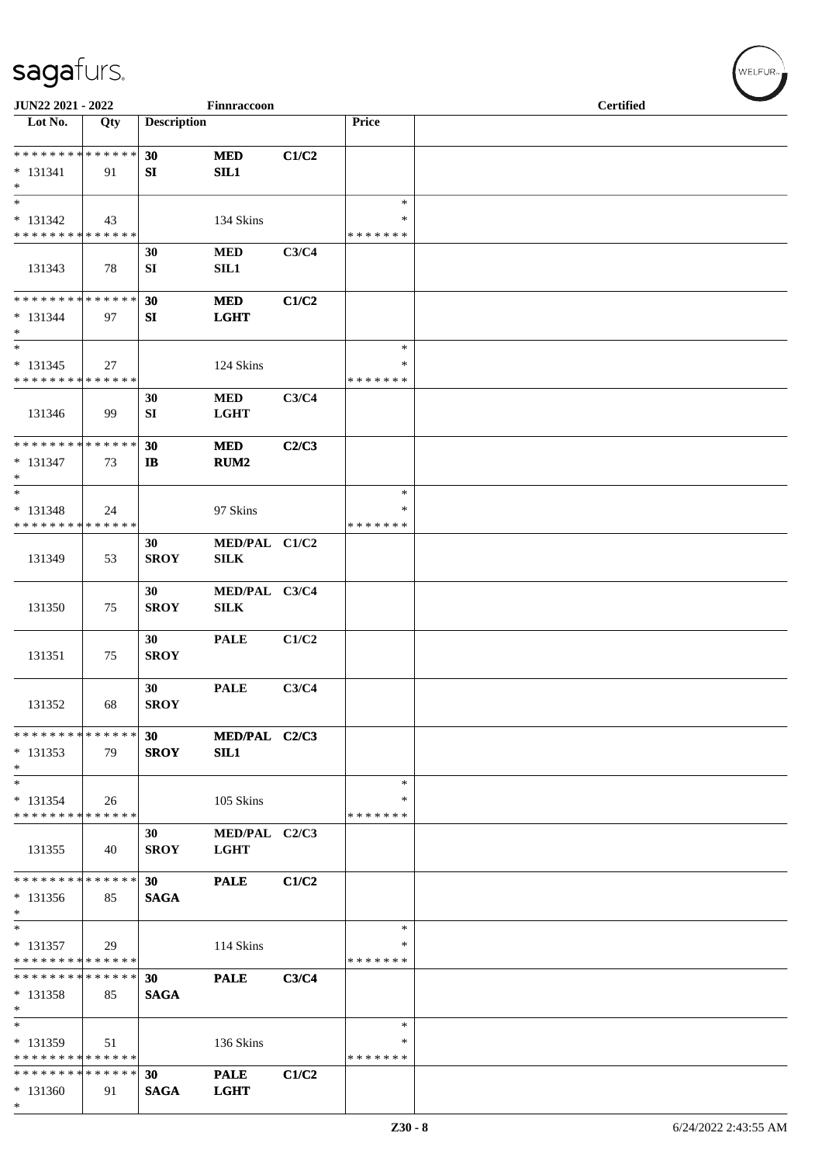| JUN22 2021 - 2022                                                     |     |                    | Finnraccoon                                   |       |                                   | <b>Certified</b> |
|-----------------------------------------------------------------------|-----|--------------------|-----------------------------------------------|-------|-----------------------------------|------------------|
| $\overline{\text{Lot No.}}$                                           | Qty | <b>Description</b> |                                               |       | Price                             |                  |
| * * * * * * * * * * * * * *<br>$* 131341$<br>$\ast$                   | 91  | 30<br>SI           | <b>MED</b><br>SIL1                            | C1/C2 |                                   |                  |
| $\ast$<br>$* 131342$<br>* * * * * * * * * * * * * *                   | 43  |                    | 134 Skins                                     |       | $\ast$<br>$\ast$<br>* * * * * * * |                  |
| 131343                                                                | 78  | 30<br>SI           | <b>MED</b><br>SIL1                            | C3/C4 |                                   |                  |
| **************<br>$* 131344$<br>$\ast$                                | 97  | 30<br>SI           | <b>MED</b><br><b>LGHT</b>                     | C1/C2 |                                   |                  |
| $\overline{\phantom{1}}$<br>$* 131345$<br>* * * * * * * * * * * * * * | 27  |                    | 124 Skins                                     |       | $\ast$<br>*<br>* * * * * * *      |                  |
| 131346                                                                | 99  | 30<br>SI           | <b>MED</b><br><b>LGHT</b>                     | C3/C4 |                                   |                  |
| **************<br>$* 131347$<br>$\ast$                                | 73  | 30<br><b>IB</b>    | <b>MED</b><br>RUM <sub>2</sub>                | C2/C3 |                                   |                  |
| $\ast$<br>$* 131348$<br>* * * * * * * * * * * * * *                   | 24  |                    | 97 Skins                                      |       | $\ast$<br>∗<br>* * * * * * *      |                  |
| 131349                                                                | 53  | 30<br><b>SROY</b>  | MED/PAL C1/C2<br><b>SILK</b>                  |       |                                   |                  |
| 131350                                                                | 75  | 30<br><b>SROY</b>  | MED/PAL C3/C4<br>$\ensuremath{\mathrm{SILK}}$ |       |                                   |                  |
| 131351                                                                | 75  | 30<br><b>SROY</b>  | <b>PALE</b>                                   | C1/C2 |                                   |                  |
| 131352                                                                | 68  | 30<br><b>SROY</b>  | <b>PALE</b>                                   | C3/C4 |                                   |                  |
| * * * * * * * * * * * * * *<br>$* 131353$<br>$\ast$                   | 79  | 30<br><b>SROY</b>  | MED/PAL C2/C3<br>SIL1                         |       |                                   |                  |
| $\ast$<br>$* 131354$<br>* * * * * * * * * * * * * *                   | 26  |                    | 105 Skins                                     |       | $\ast$<br>∗<br>* * * * * * *      |                  |
| 131355                                                                | 40  | 30<br><b>SROY</b>  | MED/PAL C2/C3<br><b>LGHT</b>                  |       |                                   |                  |
| * * * * * * * * * * * * * *<br>$* 131356$<br>$\ast$                   | 85  | 30<br><b>SAGA</b>  | <b>PALE</b>                                   | C1/C2 |                                   |                  |
| $\ast$<br>$* 131357$<br>* * * * * * * * * * * * * *                   | 29  |                    | 114 Skins                                     |       | $\ast$<br>∗<br>* * * * * * *      |                  |
| * * * * * * * * * * * * * *<br>$* 131358$<br>$\ast$                   | 85  | 30<br><b>SAGA</b>  | <b>PALE</b>                                   | C3/C4 |                                   |                  |
| $\ast$<br>* 131359<br>* * * * * * * * * * * * * *                     | 51  |                    | 136 Skins                                     |       | $\ast$<br>∗<br>* * * * * * *      |                  |
| * * * * * * * * * * * * * *<br>$* 131360$<br>$\ast$                   | 91  | 30<br><b>SAGA</b>  | <b>PALE</b><br><b>LGHT</b>                    | C1/C2 |                                   |                  |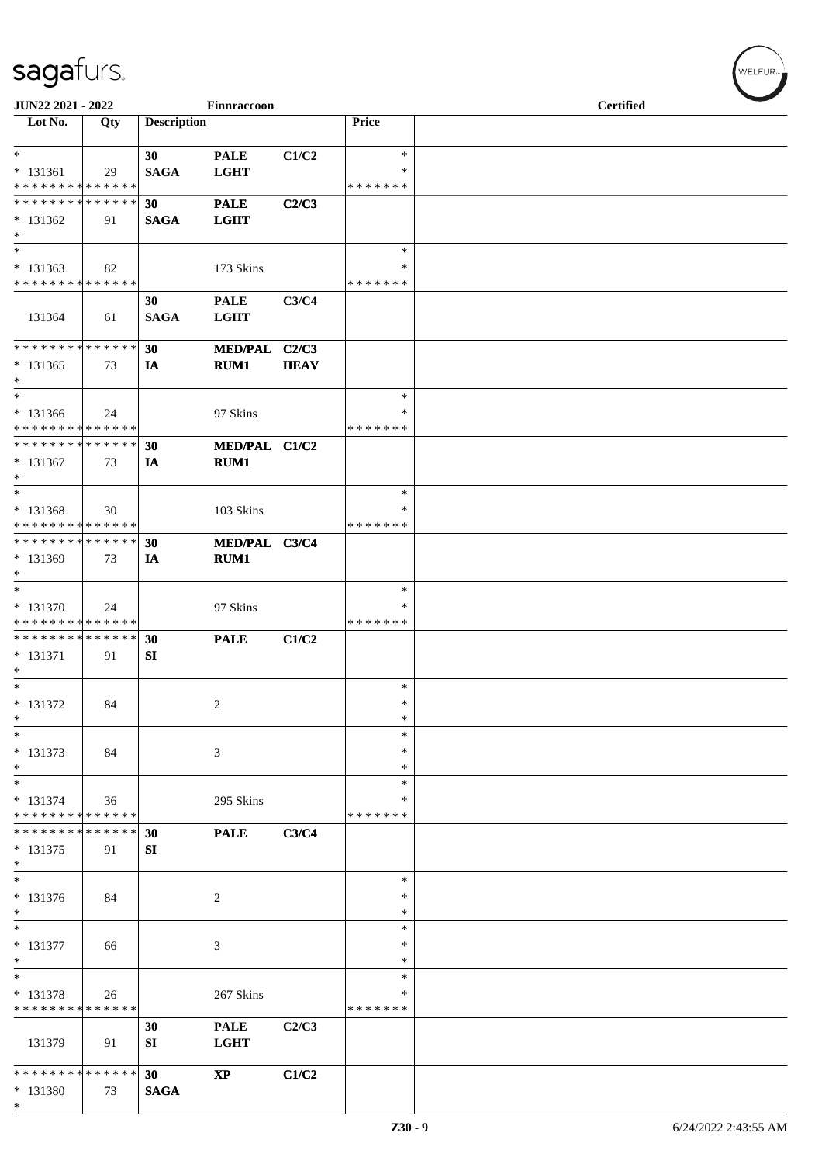| JUN22 2021 - 2022                                   |     |                    | Finnraccoon                |             |                    | <b>Certified</b> |  |
|-----------------------------------------------------|-----|--------------------|----------------------------|-------------|--------------------|------------------|--|
| Lot No.                                             | Qty | <b>Description</b> |                            |             | Price              |                  |  |
| $*$<br>$* 131361$                                   | 29  | 30<br><b>SAGA</b>  | <b>PALE</b><br><b>LGHT</b> | C1/C2       | $\ast$<br>$\ast$   |                  |  |
| * * * * * * * * * * * * * *                         |     |                    |                            |             | * * * * * * *      |                  |  |
| * * * * * * * * * * * * * *<br>$* 131362$<br>$\ast$ | 91  | 30<br><b>SAGA</b>  | <b>PALE</b><br><b>LGHT</b> | C2/C3       |                    |                  |  |
| $\ast$<br>$* 131363$                                | 82  |                    | 173 Skins                  |             | $\ast$<br>∗        |                  |  |
| * * * * * * * * * * * * * *                         |     |                    |                            |             | * * * * * * *      |                  |  |
| 131364                                              | 61  | 30<br><b>SAGA</b>  | <b>PALE</b><br><b>LGHT</b> | C3/C4       |                    |                  |  |
| * * * * * * * * * * * * * *                         |     | 30                 | <b>MED/PAL</b>             | C2/C3       |                    |                  |  |
| $* 131365$<br>$\ast$                                | 73  | IA                 | RUM1                       | <b>HEAV</b> |                    |                  |  |
| $\ast$                                              |     |                    |                            |             | $\ast$             |                  |  |
| * 131366<br>* * * * * * * * * * * * * *             | 24  |                    | 97 Skins                   |             | ∗<br>* * * * * * * |                  |  |
| * * * * * * * * * * * * * *                         |     | 30                 | MED/PAL C1/C2              |             |                    |                  |  |
| * 131367<br>$*$                                     | 73  | IA                 | RUM1                       |             |                    |                  |  |
| $*$                                                 |     |                    |                            |             | $\ast$             |                  |  |
| * 131368                                            | 30  |                    | 103 Skins                  |             | ∗                  |                  |  |
| * * * * * * * * * * * * * *                         |     |                    |                            |             | * * * * * * *      |                  |  |
| * * * * * * * * * * * * * *<br>* 131369             | 73  | 30<br>IA           | MED/PAL C3/C4<br>RUM1      |             |                    |                  |  |
| $\ast$                                              |     |                    |                            |             |                    |                  |  |
| $*$                                                 |     |                    |                            |             | ∗                  |                  |  |
| * 131370<br>* * * * * * * * * * * * * *             | 24  |                    | 97 Skins                   |             | ∗<br>* * * * * * * |                  |  |
| * * * * * * * * * * * * * *                         |     | 30                 | <b>PALE</b>                | C1/C2       |                    |                  |  |
| * 131371                                            | 91  | SI                 |                            |             |                    |                  |  |
| $\ast$<br>$*$                                       |     |                    |                            |             | $\ast$             |                  |  |
| $* 131372$                                          | 84  |                    | $\overline{c}$             |             | $\ast$             |                  |  |
| $\ast$                                              |     |                    |                            |             | $\ast$             |                  |  |
| $\ast$                                              |     |                    |                            |             | *<br>∗             |                  |  |
| $* 131373$<br>$\ast$                                | 84  |                    | 3                          |             | $\ast$             |                  |  |
| $\ast$                                              |     |                    |                            |             | $\ast$             |                  |  |
| $* 131374$<br>* * * * * * * * * * * * * *           | 36  |                    | 295 Skins                  |             | ∗<br>* * * * * * * |                  |  |
| * * * * * * * * * * * * * *                         |     | 30                 | <b>PALE</b>                | C3/C4       |                    |                  |  |
| * 131375<br>$\ast$                                  | 91  | SI                 |                            |             |                    |                  |  |
| $\ast$                                              |     |                    |                            |             | ∗                  |                  |  |
| * 131376<br>$\ast$                                  | 84  |                    | 2                          |             | ∗<br>∗             |                  |  |
| $\ast$                                              |     |                    |                            |             | $\ast$             |                  |  |
| * 131377<br>$\ast$                                  | 66  |                    | 3                          |             | ∗<br>∗             |                  |  |
| $\overline{\phantom{a}^*}$                          |     |                    |                            |             | $\ast$             |                  |  |
| $* 131378$<br>* * * * * * * * * * * * * *           | 26  |                    | 267 Skins                  |             | ∗                  |                  |  |
|                                                     |     | 30                 | <b>PALE</b>                | C2/C3       | * * * * * * *      |                  |  |
| 131379                                              | 91  | SI                 | <b>LGHT</b>                |             |                    |                  |  |
| * * * * * * * * * * * * * *                         |     | 30                 | $\bold{XP}$                | C1/C2       |                    |                  |  |
| $* 131380$<br>$\ast$                                | 73  | <b>SAGA</b>        |                            |             |                    |                  |  |

WELFUR<sub><sup>N</sup></sub>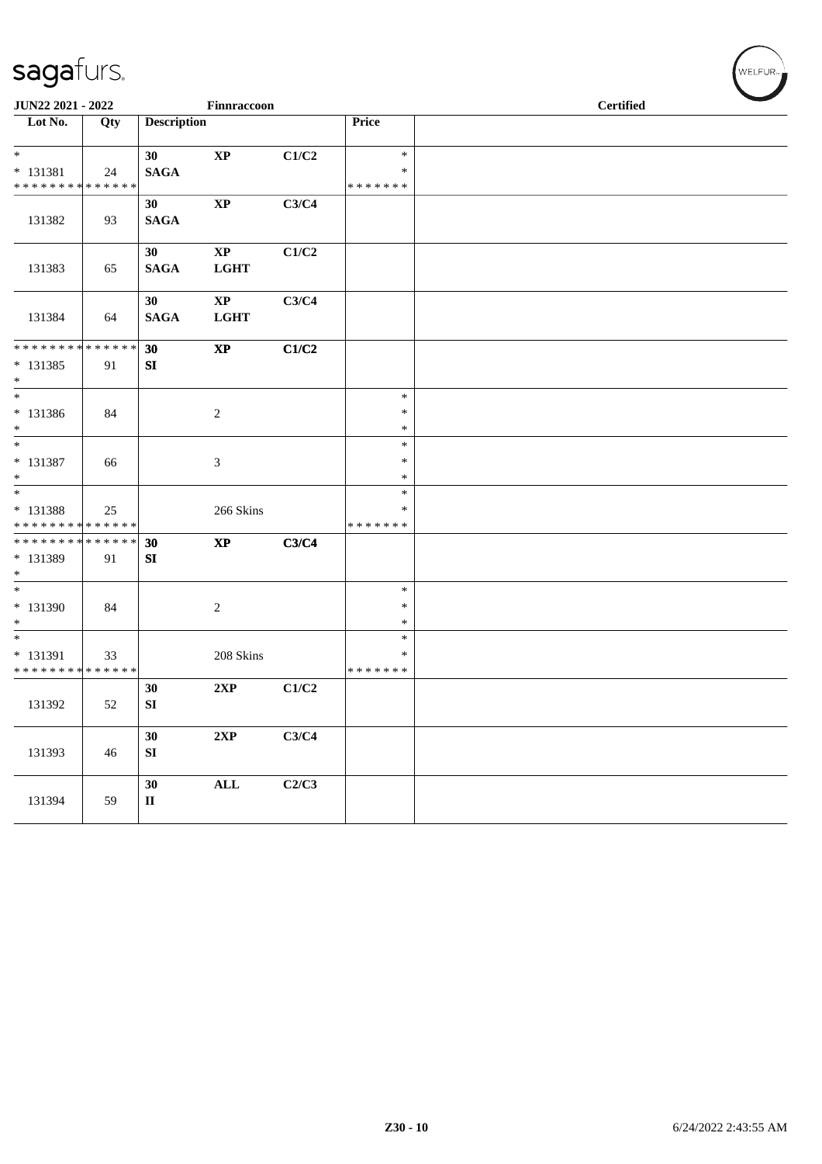| JUN22 2021 - 2022                                |     |                              | Finnraccoon                           |       |                                   |  | <b>Certified</b> |  |
|--------------------------------------------------|-----|------------------------------|---------------------------------------|-------|-----------------------------------|--|------------------|--|
| Lot No.                                          | Qty | <b>Description</b>           |                                       |       | Price                             |  |                  |  |
| $*$<br>$* 131381$<br>* * * * * * * * * * * * * * | 24  | 30<br><b>SAGA</b>            | $\bold{XP}$                           | C1/C2 | $\ast$<br>$\ast$<br>*******       |  |                  |  |
| 131382                                           | 93  | 30<br><b>SAGA</b>            | $\bold{XP}$                           | C3/C4 |                                   |  |                  |  |
| 131383                                           | 65  | 30<br><b>SAGA</b>            | $\mathbf{XP}$<br><b>LGHT</b>          | C1/C2 |                                   |  |                  |  |
| 131384                                           | 64  | 30<br><b>SAGA</b>            | $\mathbf{X}\mathbf{P}$<br><b>LGHT</b> | C3/C4 |                                   |  |                  |  |
| * * * * * * * * * * * * * *<br>* 131385<br>$*$   | 91  | 30<br>SI                     | $\boldsymbol{\mathrm{XP}}$            | C1/C2 |                                   |  |                  |  |
| $\overline{\ast}$<br>$* 131386$<br>$*$           | 84  |                              | $\sqrt{2}$                            |       | $\ast$<br>$\ast$<br>$\ast$        |  |                  |  |
| $*$<br>$* 131387$<br>$*$                         | 66  |                              | $\mathfrak{Z}$                        |       | $\ast$<br>$\ast$<br>$\ast$        |  |                  |  |
| $*$<br>* 131388<br>* * * * * * * * * * * * * *   | 25  |                              | 266 Skins                             |       | $\ast$<br>$\ast$<br>* * * * * * * |  |                  |  |
| ******** <mark>******</mark><br>* 131389<br>$*$  | 91  | 30<br>SI                     | $\mathbf{XP}$                         | C3/C4 |                                   |  |                  |  |
| $\overline{\phantom{0}}$<br>* 131390<br>$*$      | 84  |                              | $\overline{c}$                        |       | $\ast$<br>$\ast$<br>$\ast$        |  |                  |  |
| $*$<br>* 131391<br>* * * * * * * * * * * * * *   | 33  |                              | 208 Skins                             |       | $\ast$<br>$\ast$<br>* * * * * * * |  |                  |  |
| 131392                                           | 52  | 30<br>${\bf SI}$             | 2XP                                   | C1/C2 |                                   |  |                  |  |
| 131393                                           | 46  | 30<br>SI                     | 2XP                                   | C3/C4 |                                   |  |                  |  |
| 131394                                           | 59  | 30<br>$\mathbf{I}\mathbf{I}$ | $\mathbf{ALL}$                        | C2/C3 |                                   |  |                  |  |

WELFUR<sub>\*</sub>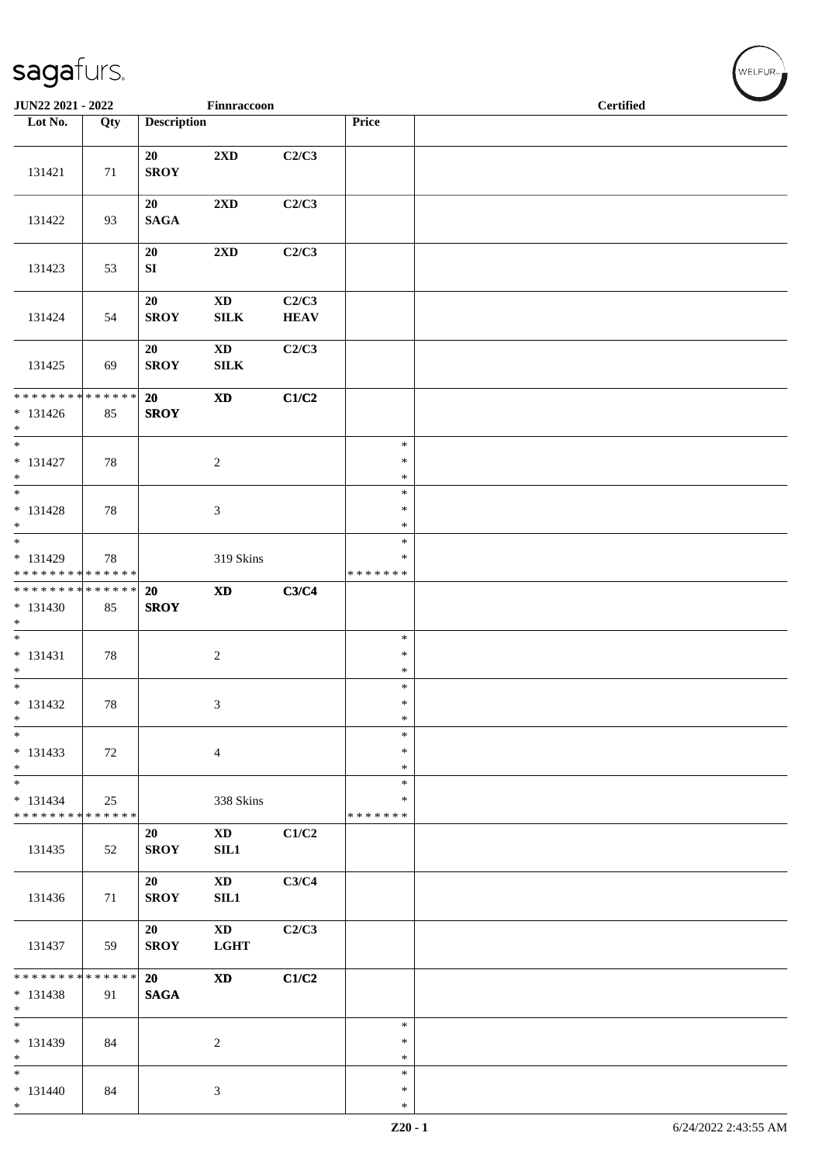| JUN22 2021 - 2022                                                       |     |                        | Finnraccoon                            |                      |                                   | <b>Certified</b> |  |
|-------------------------------------------------------------------------|-----|------------------------|----------------------------------------|----------------------|-----------------------------------|------------------|--|
| Lot No.                                                                 | Qty | <b>Description</b>     |                                        |                      | Price                             |                  |  |
| 131421                                                                  | 71  | 20<br><b>SROY</b>      | $2{\bf X}{\bf D}$                      | C2/C3                |                                   |                  |  |
| 131422                                                                  | 93  | 20<br><b>SAGA</b>      | $2{\bf X}{\bf D}$                      | C2/C3                |                                   |                  |  |
| 131423                                                                  | 53  | 20<br>${\bf S}{\bf I}$ | 2XD                                    | C2/C3                |                                   |                  |  |
| 131424                                                                  | 54  | 20<br><b>SROY</b>      | $\mathbf{X}\mathbf{D}$<br>${\bf SILK}$ | C2/C3<br><b>HEAV</b> |                                   |                  |  |
| 131425                                                                  | 69  | 20<br><b>SROY</b>      | $\mathbf{X}\mathbf{D}$<br>${\bf SILK}$ | C2/C3                |                                   |                  |  |
| * * * * * * * * * * * * * *<br>$* 131426$<br>$*$                        | 85  | 20<br><b>SROY</b>      | $\boldsymbol{\mathrm{XD}}$             | C1/C2                |                                   |                  |  |
| $\overline{\phantom{0}}$<br>$* 131427$<br>$*$                           | 78  |                        | $\sqrt{2}$                             |                      | $\ast$<br>$\ast$<br>$\ast$        |                  |  |
| $\overline{\phantom{0}}$<br>$* 131428$<br>$*$                           | 78  |                        | $\mathfrak{Z}$                         |                      | $\ast$<br>$\ast$<br>$\ast$        |                  |  |
| $\ast$<br>$* 131429$<br>* * * * * * * * * * * * * *                     | 78  |                        | 319 Skins                              |                      | $\ast$<br>$\ast$<br>* * * * * * * |                  |  |
| ******** <mark>******</mark><br>$* 131430$<br>$*$                       | 85  | 20<br><b>SROY</b>      | $\mathbf{X}\mathbf{D}$                 | C3/C4                |                                   |                  |  |
| $\overline{\phantom{0}}$<br>$* 131431$<br>$\ast$                        | 78  |                        | $\sqrt{2}$                             |                      | $\ast$<br>$\ast$<br>$\ast$        |                  |  |
| $* 131432$<br>$\ast$                                                    | 78  |                        | 3                                      |                      | $\ast$<br>$\ast$<br>$\ast$        |                  |  |
| $\ast$<br>$* 131433$<br>$*$                                             | 72  |                        | $\overline{4}$                         |                      | $\ast$<br>∗<br>∗                  |                  |  |
| $\overline{\phantom{a}^*}$<br>$* 131434$<br>* * * * * * * * * * * * * * | 25  |                        | 338 Skins                              |                      | $\ast$<br>∗<br>* * * * * * *      |                  |  |
| 131435                                                                  | 52  | 20<br><b>SROY</b>      | $\mathbf{X}\mathbf{D}$<br>$\rm SIL1$   | C1/C2                |                                   |                  |  |
| 131436                                                                  | 71  | 20<br><b>SROY</b>      | <b>XD</b><br>SL1                       | C3/C4                |                                   |                  |  |
| 131437                                                                  | 59  | 20<br><b>SROY</b>      | $\mathbf{X}\mathbf{D}$<br><b>LGHT</b>  | C2/C3                |                                   |                  |  |
| * * * * * * * * * * * * * *<br>$* 131438$<br>$\ast$                     | 91  | 20<br><b>SAGA</b>      | $\mathbf{X}\mathbf{D}$                 | C1/C2                |                                   |                  |  |
| $\overline{\phantom{a}^*}$<br>* 131439<br>$\ast$                        | 84  |                        | $\boldsymbol{2}$                       |                      | $\ast$<br>$\ast$<br>∗             |                  |  |
| $\overline{\phantom{0}}$<br>$* 131440$<br>$*$                           | 84  |                        | $\mathfrak{Z}$                         |                      | $\ast$<br>$\ast$<br>$\ast$        |                  |  |

 $\left(\bigvee_{w \in \text{LFUR}_{\text{reg}}}$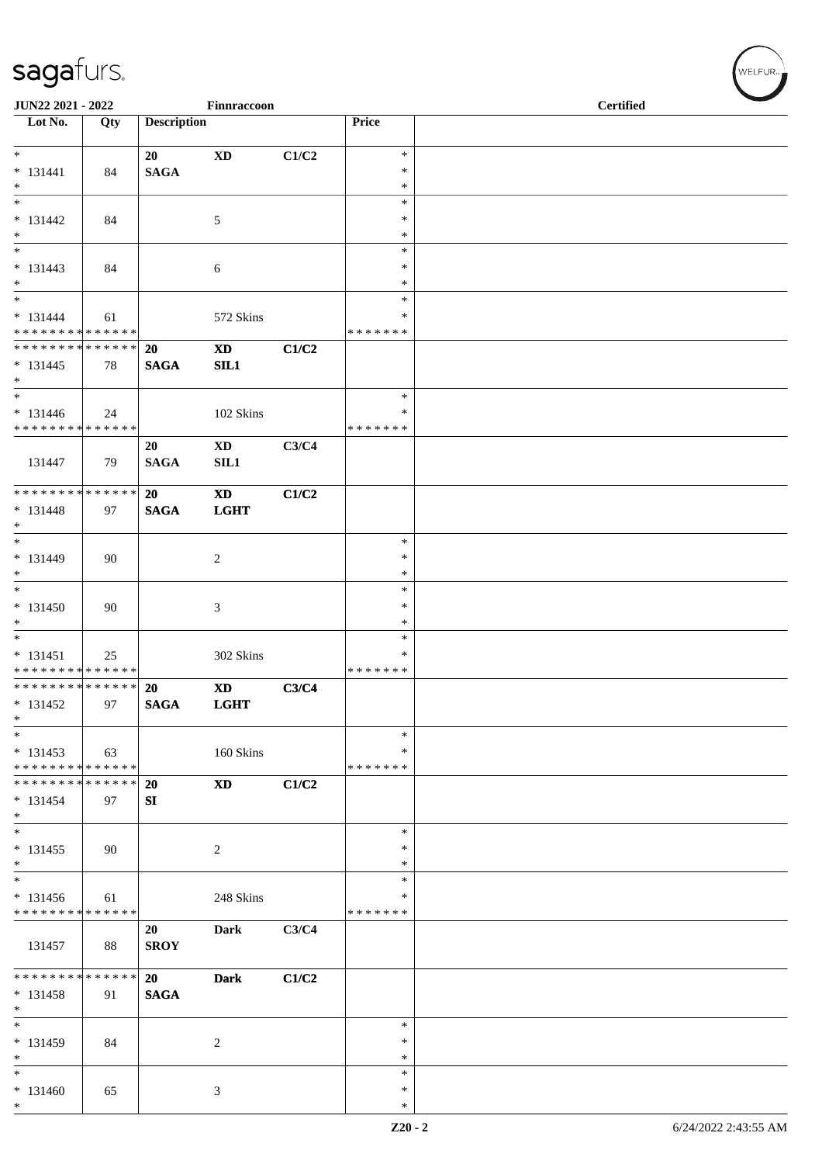| JUN22 2021 - 2022                                     |     |                              | Finnraccoon                           |       |                              | <b>Certified</b> |  |  |  |  |
|-------------------------------------------------------|-----|------------------------------|---------------------------------------|-------|------------------------------|------------------|--|--|--|--|
| $\overline{\phantom{1}}$ Lot No.                      | Qty | <b>Description</b>           |                                       |       | Price                        |                  |  |  |  |  |
| $*$<br>$* 131441$                                     | 84  | 20<br><b>SAGA</b>            | $\mathbf{X}\mathbf{D}$                | C1/C2 | $\ast$<br>$\ast$             |                  |  |  |  |  |
| $*$<br>$\overline{\phantom{0}}$                       |     |                              |                                       |       | $\ast$<br>$\ast$             |                  |  |  |  |  |
| $* 131442$<br>$*$                                     | 84  |                              | 5                                     |       | $\ast$<br>$\ast$             |                  |  |  |  |  |
| $\overline{\phantom{0}}$<br>$* 131443$<br>$*$         | 84  |                              | 6                                     |       | $\ast$<br>$\ast$<br>∗        |                  |  |  |  |  |
|                                                       |     |                              |                                       |       | $\ast$<br>∗                  |                  |  |  |  |  |
| $* 131444$<br>* * * * * * * * * * * * * *             | 61  |                              | 572 Skins                             |       | * * * * * * *                |                  |  |  |  |  |
| * * * * * * * * * * * * * * *<br>$* 131445$<br>$*$    | 78  | 20<br><b>SAGA</b>            | $\mathbf{X}\mathbf{D}$<br>SL1         | C1/C2 |                              |                  |  |  |  |  |
| $* 131446$<br>* * * * * * * * * * * * * *             | 24  |                              | 102 Skins                             |       | $\ast$<br>∗<br>* * * * * * * |                  |  |  |  |  |
| 131447                                                | 79  | 20<br><b>SAGA</b>            | $\mathbf{X}\mathbf{D}$<br>SIL1        | C3/C4 |                              |                  |  |  |  |  |
| ******** <mark>******</mark><br>$* 131448$<br>$*$     | 97  | 20<br><b>SAGA</b>            | $\mathbf{X}\mathbf{D}$<br><b>LGHT</b> | C1/C2 |                              |                  |  |  |  |  |
| $*$<br>$* 131449$<br>$*$                              | 90  |                              | $\overline{c}$                        |       | $\ast$<br>$\ast$<br>$\ast$   |                  |  |  |  |  |
| $* 131450$<br>$*$                                     | 90  |                              | 3                                     |       | $\ast$<br>$\ast$<br>$\ast$   |                  |  |  |  |  |
| $* 131451$<br>* * * * * * * * * * * * * *             | 25  |                              | 302 Skins                             |       | $\ast$<br>∗<br>* * * * * * * |                  |  |  |  |  |
| * * * * * * * * * * * * * * *<br>$* 131452$<br>$\ast$ | 97  | <b>20</b><br>$\mathbf{SAGA}$ | $\mathbf{X}\mathbf{D}$<br><b>LGHT</b> | C3/C4 |                              |                  |  |  |  |  |
| $*$<br>$* 131453$<br>* * * * * * * * * * * * * *      | 63  |                              | 160 Skins                             |       | $\ast$<br>∗<br>* * * * * * * |                  |  |  |  |  |
| * * * * * * * * * * * * * * *<br>$* 131454$<br>$*$    | 97  | 20<br>SI                     | <b>XD</b>                             | C1/C2 |                              |                  |  |  |  |  |
| $*$<br>$* 131455$<br>$*$                              | 90  |                              | 2                                     |       | $\ast$<br>$\ast$<br>∗        |                  |  |  |  |  |
| $*$<br>$* 131456$<br>* * * * * * * * * * * * * *      | 61  |                              | 248 Skins                             |       | ∗<br>∗<br>* * * * * * *      |                  |  |  |  |  |
| 131457                                                | 88  | 20<br><b>SROY</b>            | Dark                                  | C3/C4 |                              |                  |  |  |  |  |
| * * * * * * * * * * * * * * *<br>* 131458<br>$*$      | 91  | 20<br><b>SAGA</b>            | <b>Dark</b>                           | C1/C2 |                              |                  |  |  |  |  |
| $*$<br>$* 131459$<br>$*$                              | 84  |                              | $\overline{c}$                        |       | $\ast$<br>$\ast$<br>$\ast$   |                  |  |  |  |  |
| $*$<br>$* 131460$<br>$*$                              | 65  |                              | 3                                     |       | $\ast$<br>∗<br>$\ast$        |                  |  |  |  |  |

 $w$ elfur<sub>»</sub>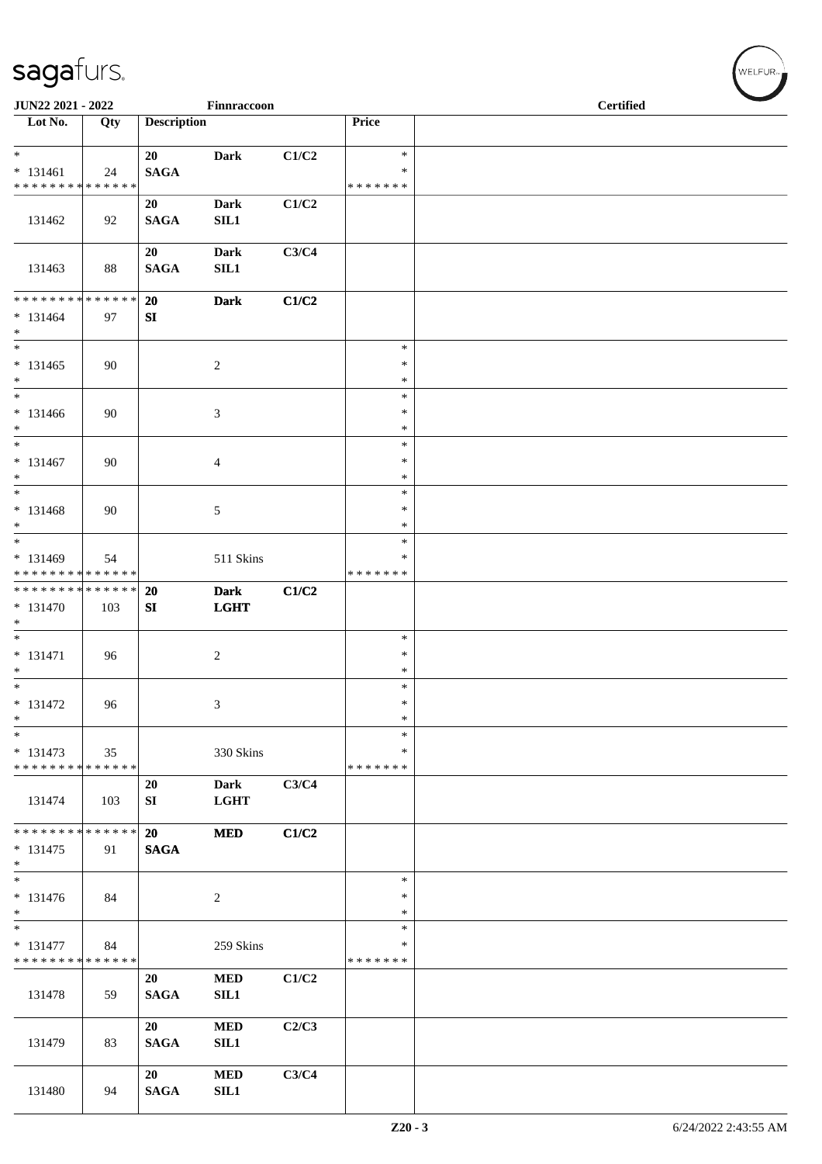| JUN22 2021 - 2022                                                   |     |                    | Finnraccoon                |       |                                   | <b>Certified</b> |  |
|---------------------------------------------------------------------|-----|--------------------|----------------------------|-------|-----------------------------------|------------------|--|
| Lot No.                                                             | Qty | <b>Description</b> |                            |       | Price                             |                  |  |
| $\overline{\ast}$<br>$* 131461$<br>* * * * * * * * * * * * * *      | 24  | 20<br><b>SAGA</b>  | <b>Dark</b>                | C1/C2 | $\ast$<br>$\ast$<br>* * * * * * * |                  |  |
| 131462                                                              | 92  | 20<br><b>SAGA</b>  | <b>Dark</b><br>SL1         | C1/C2 |                                   |                  |  |
| 131463                                                              | 88  | 20<br><b>SAGA</b>  | <b>Dark</b><br>SIL1        | C3/C4 |                                   |                  |  |
| ******** <mark>******</mark><br>$* 131464$<br>$\ast$                | 97  | 20<br>SI           | <b>Dark</b>                | C1/C2 |                                   |                  |  |
| $\ast$<br>$* 131465$<br>$*$                                         | 90  |                    | $\overline{c}$             |       | $\ast$<br>$\ast$<br>$\ast$        |                  |  |
| $*$<br>$* 131466$<br>$*$                                            | 90  |                    | $\mathfrak{Z}$             |       | $\ast$<br>$\ast$<br>$\ast$        |                  |  |
| $\ast$<br>$* 131467$<br>$*$                                         | 90  |                    | $\overline{4}$             |       | $\ast$<br>$\ast$<br>$\ast$        |                  |  |
| $\ast$<br>$* 131468$<br>$*$                                         | 90  |                    | $\sqrt{5}$                 |       | $\ast$<br>$\ast$<br>$\ast$        |                  |  |
| $\ast$<br>$* 131469$<br>* * * * * * * * * * * * * *                 | 54  |                    | 511 Skins                  |       | $\ast$<br>$\ast$<br>* * * * * * * |                  |  |
| * * * * * * * * * * * * * *<br>* 131470<br>$\ast$                   | 103 | 20<br>SI           | <b>Dark</b><br><b>LGHT</b> | C1/C2 |                                   |                  |  |
| $\overline{\phantom{0}}$<br>$* 131471$<br>$*$                       | 96  |                    | $\overline{c}$             |       | $\ast$<br>$\ast$<br>$\ast$        |                  |  |
| $\overline{\ast}$<br>$* 131472$<br>$\ast$                           | 96  |                    | $\mathfrak{Z}$             |       | $\ast$<br>$\ast$<br>$\ast$        |                  |  |
| $\ast$<br>$* 131473$<br>* * * * * * * * * * * * * *                 | 35  |                    | 330 Skins                  |       | $\ast$<br>$\ast$<br>* * * * * * * |                  |  |
| 131474                                                              | 103 | 20<br>${\bf SI}$   | <b>Dark</b><br><b>LGHT</b> | C3/C4 |                                   |                  |  |
| * * * * * * * * * * * * * *<br>$* 131475$<br>$\ast$                 | 91  | 20<br><b>SAGA</b>  | <b>MED</b>                 | C1/C2 |                                   |                  |  |
| $\ast$<br>$* 131476$<br>$\ast$                                      | 84  |                    | $\overline{c}$             |       | $\ast$<br>$\ast$<br>$\ast$        |                  |  |
| $\overline{\phantom{0}}$<br>* 131477<br>* * * * * * * * * * * * * * | 84  |                    | 259 Skins                  |       | $\ast$<br>∗<br>* * * * * * *      |                  |  |
| 131478                                                              | 59  | 20<br><b>SAGA</b>  | <b>MED</b><br>SIL1         | C1/C2 |                                   |                  |  |
| 131479                                                              | 83  | 20<br><b>SAGA</b>  | <b>MED</b><br>SIL1         | C2/C3 |                                   |                  |  |
| 131480                                                              | 94  | 20<br><b>SAGA</b>  | <b>MED</b><br><b>SIL1</b>  | C3/C4 |                                   |                  |  |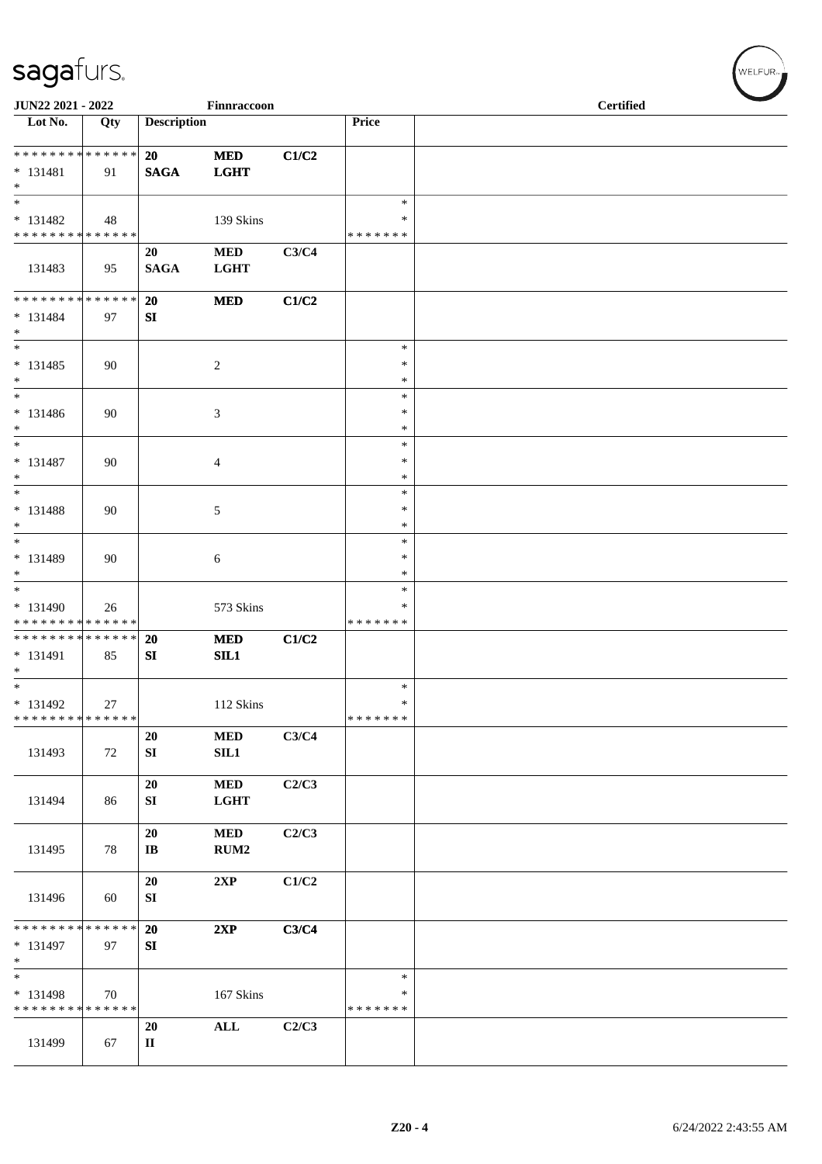| JUN22 2021 - 2022                                                      |     |                    | Finnraccoon                    |       |                                      | <b>Certified</b> |  |
|------------------------------------------------------------------------|-----|--------------------|--------------------------------|-------|--------------------------------------|------------------|--|
| Lot No.                                                                | Qty | <b>Description</b> |                                |       | Price                                |                  |  |
| **************<br>$* 131481$<br>$\ast$                                 | 91  | 20<br><b>SAGA</b>  | <b>MED</b><br><b>LGHT</b>      | C1/C2 |                                      |                  |  |
| $\overline{\phantom{a}}$<br>$* 131482$<br>******** <mark>******</mark> | 48  |                    | 139 Skins                      |       | $\ast$<br>$\ast$<br>* * * * * * *    |                  |  |
| 131483                                                                 | 95  | 20<br><b>SAGA</b>  | <b>MED</b><br><b>LGHT</b>      | C3/C4 |                                      |                  |  |
| ******** <mark>******</mark><br>$* 131484$<br>$*$                      | 97  | 20<br>SI           | <b>MED</b>                     | C1/C2 |                                      |                  |  |
| $\overline{\phantom{a}^*}$<br>$* 131485$<br>$\ast$                     | 90  |                    | $\sqrt{2}$                     |       | $\ast$<br>$\ast$<br>$\ast$           |                  |  |
| $\ast$<br>$* 131486$<br>$\ast$<br>$\ast$                               | 90  |                    | 3                              |       | $\ast$<br>$\ast$<br>$\ast$           |                  |  |
| $* 131487$<br>$\ast$<br>$_{*}^{-}$                                     | 90  |                    | $\overline{4}$                 |       | $\ast$<br>$\ast$<br>$\ast$<br>$\ast$ |                  |  |
| $* 131488$<br>$\ast$<br>$\ast$                                         | 90  |                    | $\sqrt{5}$                     |       | $\ast$<br>$\ast$                     |                  |  |
| $* 131489$<br>$\ast$<br>$\ast$                                         | 90  |                    | $\sqrt{6}$                     |       | $\ast$<br>$\ast$<br>$\ast$           |                  |  |
| * 131490<br>* * * * * * * * * * * * * *                                | 26  |                    | 573 Skins                      |       | $\ast$<br>*<br>* * * * * * *         |                  |  |
| **************<br>$* 131491$<br>$\ast$                                 | 85  | 20<br>SI           | <b>MED</b><br>SL1              | C1/C2 |                                      |                  |  |
| $*$<br>$* 131492$<br>* * * * * * * * * * * * * *                       | 27  |                    | 112 Skins                      |       | $\ast$<br>$\ast$<br>* * * * * * *    |                  |  |
| 131493                                                                 | 72  | 20<br>SI           | <b>MED</b><br>SL1              | C3/C4 |                                      |                  |  |
| 131494                                                                 | 86  | 20<br>SI           | <b>MED</b><br><b>LGHT</b>      | C2/C3 |                                      |                  |  |
| 131495                                                                 | 78  | 20<br>IB           | <b>MED</b><br>RUM <sub>2</sub> | C2/C3 |                                      |                  |  |
| 131496                                                                 | 60  | 20<br>SI           | 2XP                            | C1/C2 |                                      |                  |  |
| * * * * * * * * * * * * * *<br>$* 131497$<br>$\ast$                    | 97  | 20<br>SI           | 2XP                            | C3/C4 |                                      |                  |  |
| $\ast$<br>* 131498<br>* * * * * * * * * * * * * *                      | 70  |                    | 167 Skins                      |       | $\ast$<br>$\ast$<br>* * * * * * *    |                  |  |
| 131499                                                                 | 67  | 20<br>$\mathbf{I}$ | ALL                            | C2/C3 |                                      |                  |  |

 $(\forall ELFUR_{\approx})$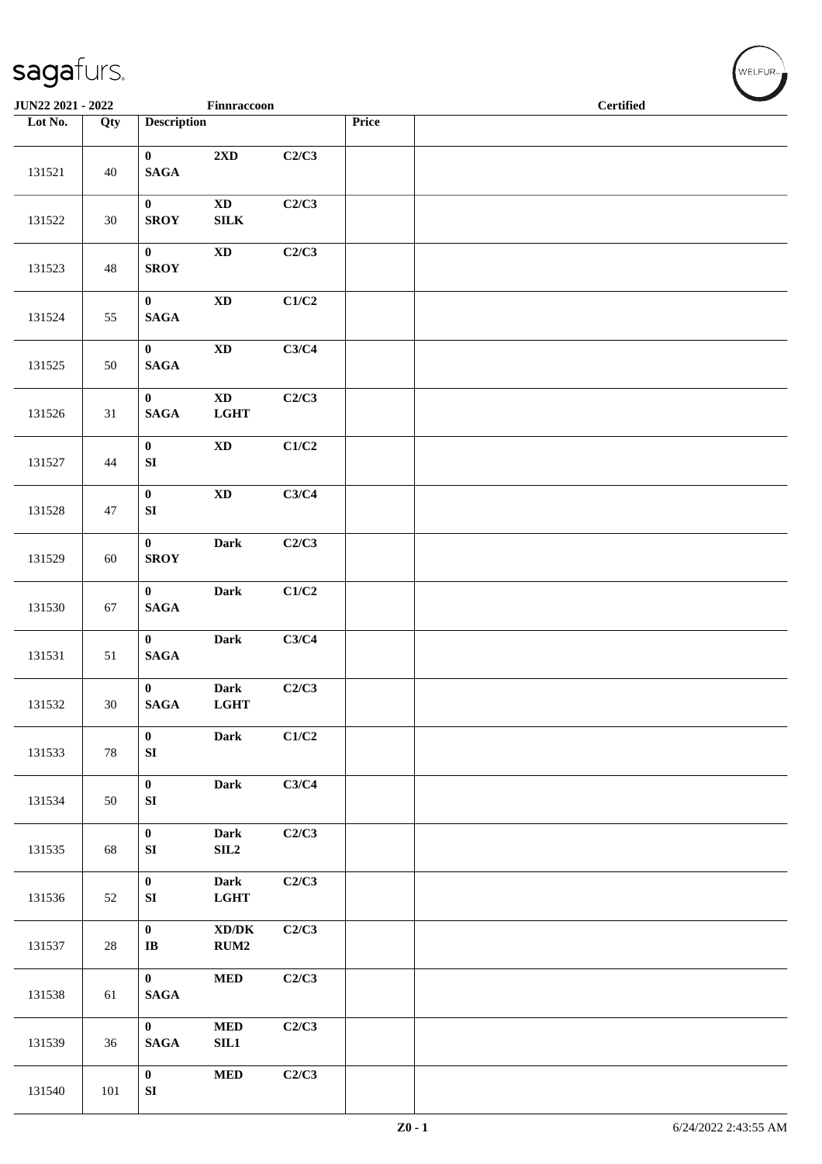| JUN22 2021 - 2022 |        |                                  | Finnraccoon                                 |       |       |  | <b>Certified</b> | $\overline{\phantom{0}}$ |
|-------------------|--------|----------------------------------|---------------------------------------------|-------|-------|--|------------------|--------------------------|
| Lot No.           | Qty    | <b>Description</b>               |                                             |       | Price |  |                  |                          |
| 131521            | 40     | $\mathbf{0}$<br>$\mathbf{SAGA}$  | $2{\bf X}{\bf D}$                           | C2/C3 |       |  |                  |                          |
| 131522            | 30     | $\mathbf{0}$<br><b>SROY</b>      | $\mathbf{X}\mathbf{D}$<br>${\bf SILK}$      | C2/C3 |       |  |                  |                          |
| 131523            | 48     | $\mathbf{0}$<br><b>SROY</b>      | $\mathbf{X}\mathbf{D}$                      | C2/C3 |       |  |                  |                          |
| 131524            | 55     | $\mathbf{0}$<br>$\mathbf{SAGA}$  | $\mathbf{X}\mathbf{D}$                      | C1/C2 |       |  |                  |                          |
| 131525            | 50     | $\mathbf{0}$<br>$\mathbf{SAGA}$  | $\mathbf{X}\mathbf{D}$                      | C3/C4 |       |  |                  |                          |
| 131526            | 31     | $\mathbf{0}$<br>$\mathbf{SAGA}$  | $\mathbf{X}\mathbf{D}$<br><b>LGHT</b>       | C2/C3 |       |  |                  |                          |
| 131527            | 44     | $\mathbf{0}$<br>${\bf SI}$       | $\mathbf{X}\mathbf{D}$                      | C1/C2 |       |  |                  |                          |
| 131528            | 47     | $\mathbf{0}$<br>${\bf SI}$       | $\mathbf{X}\mathbf{D}$                      | C3/C4 |       |  |                  |                          |
| 131529            | 60     | $\mathbf{0}$<br><b>SROY</b>      | <b>Dark</b>                                 | C2/C3 |       |  |                  |                          |
| 131530            | 67     | $\mathbf{0}$<br>$\mathbf{SAGA}$  | Dark                                        | C1/C2 |       |  |                  |                          |
| 131531            | 51     | $\mathbf{0}$<br><b>SAGA</b>      | <b>Dark</b>                                 | C3/C4 |       |  |                  |                          |
| 131532            | 30     | $\bf{0}$<br>$\mathbf{SAGA}$      | <b>Dark</b><br><b>LGHT</b>                  | C2/C3 |       |  |                  |                          |
| 131533            | $78\,$ | $\bf{0}$<br>${\bf SI}$           | Dark                                        | C1/C2 |       |  |                  |                          |
| 131534            | 50     | $\pmb{0}$<br>${\bf S}{\bf I}$    | Dark                                        | C3/C4 |       |  |                  |                          |
| 131535            | 68     | $\bf{0}$<br>${\bf SI}$           | <b>Dark</b><br>SLL2                         | C2/C3 |       |  |                  |                          |
| 131536            | 52     | $\bf{0}$<br>${\bf SI}$           | <b>Dark</b><br>LGHT                         | C2/C3 |       |  |                  |                          |
| 131537            | $28\,$ | $\boldsymbol{0}$<br>$\bf I\bf B$ | $\bold{X}\bold{D}/\bold{D}\bold{K}$<br>RUM2 | C2/C3 |       |  |                  |                          |
| 131538            | 61     | $\bf{0}$<br><b>SAGA</b>          | $\bf MED$                                   | C2/C3 |       |  |                  |                          |
| 131539            | 36     | $\bf{0}$<br>$\mathbf{SAGA}$      | $\bf MED$<br>SIL1                           | C2/C3 |       |  |                  |                          |
| 131540            | 101    | $\bf{0}$<br>${\bf SI}$           | $\bf MED$                                   | C2/C3 |       |  |                  |                          |

WELFUR<sub>\*</sub>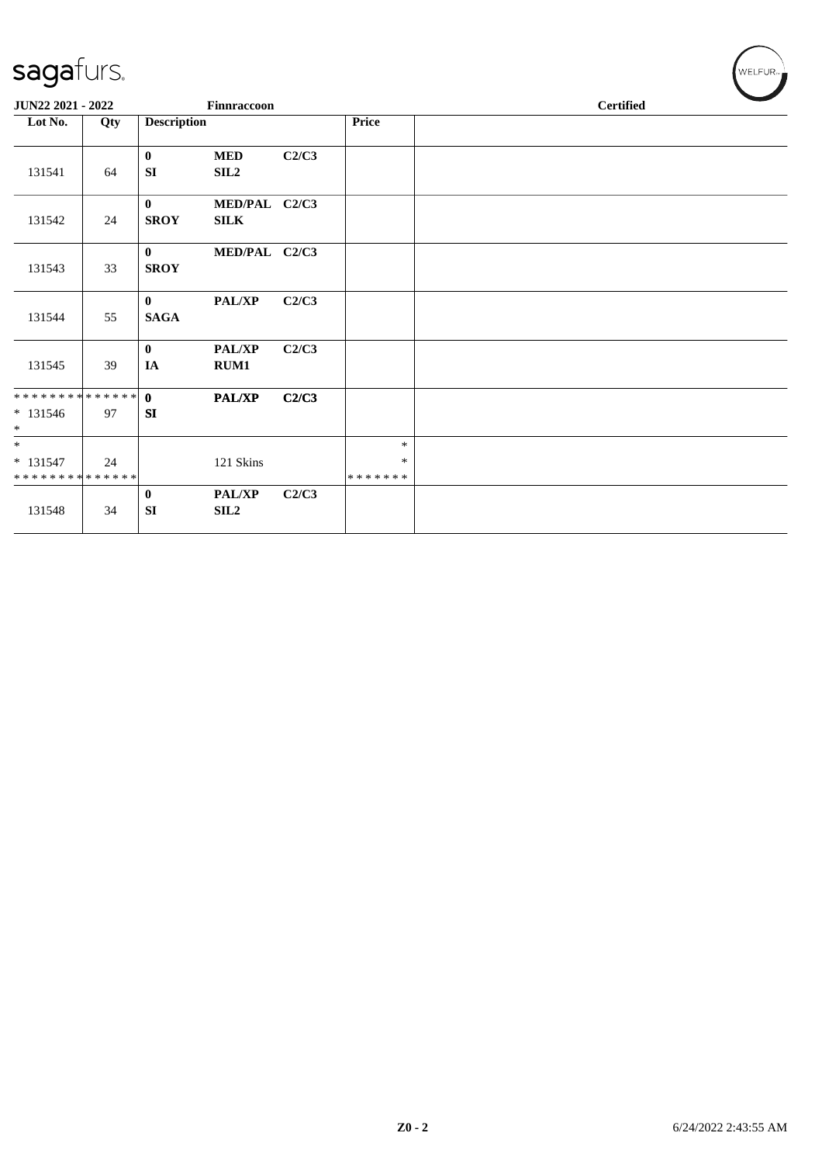| sagafurs.                              |     |                             |                                |       |                        | WELFUR <sub>74</sub> |
|----------------------------------------|-----|-----------------------------|--------------------------------|-------|------------------------|----------------------|
| JUN22 2021 - 2022                      |     |                             | <b>Finnraccoon</b>             |       |                        | <b>Certified</b>     |
| Lot No.                                | Qty | <b>Description</b>          |                                |       | Price                  |                      |
| 131541                                 | 64  | $\bf{0}$<br>SI              | <b>MED</b><br>SIL <sub>2</sub> | C2/C3 |                        |                      |
| 131542                                 | 24  | $\mathbf{0}$<br><b>SROY</b> | MED/PAL C2/C3<br><b>SILK</b>   |       |                        |                      |
| 131543                                 | 33  | $\mathbf{0}$<br><b>SROY</b> | MED/PAL C2/C3                  |       |                        |                      |
| 131544                                 | 55  | $\mathbf{0}$<br><b>SAGA</b> | PAL/XP                         | C2/C3 |                        |                      |
| 131545                                 | 39  | $\bf{0}$<br>IA              | PAL/XP<br>RUM1                 | C2/C3 |                        |                      |
| **************<br>$* 131546$<br>$\ast$ | 97  | $\mathbf{0}$<br><b>SI</b>   | PAL/XP                         | C2/C3 |                        |                      |
| $\ast$<br>$* 131547$<br>************** | 24  |                             | 121 Skins                      |       | $\ast$<br>*<br>******* |                      |
| 131548                                 | 34  | $\bf{0}$<br><b>SI</b>       | PAL/XP<br>SL2                  | C2/C3 |                        |                      |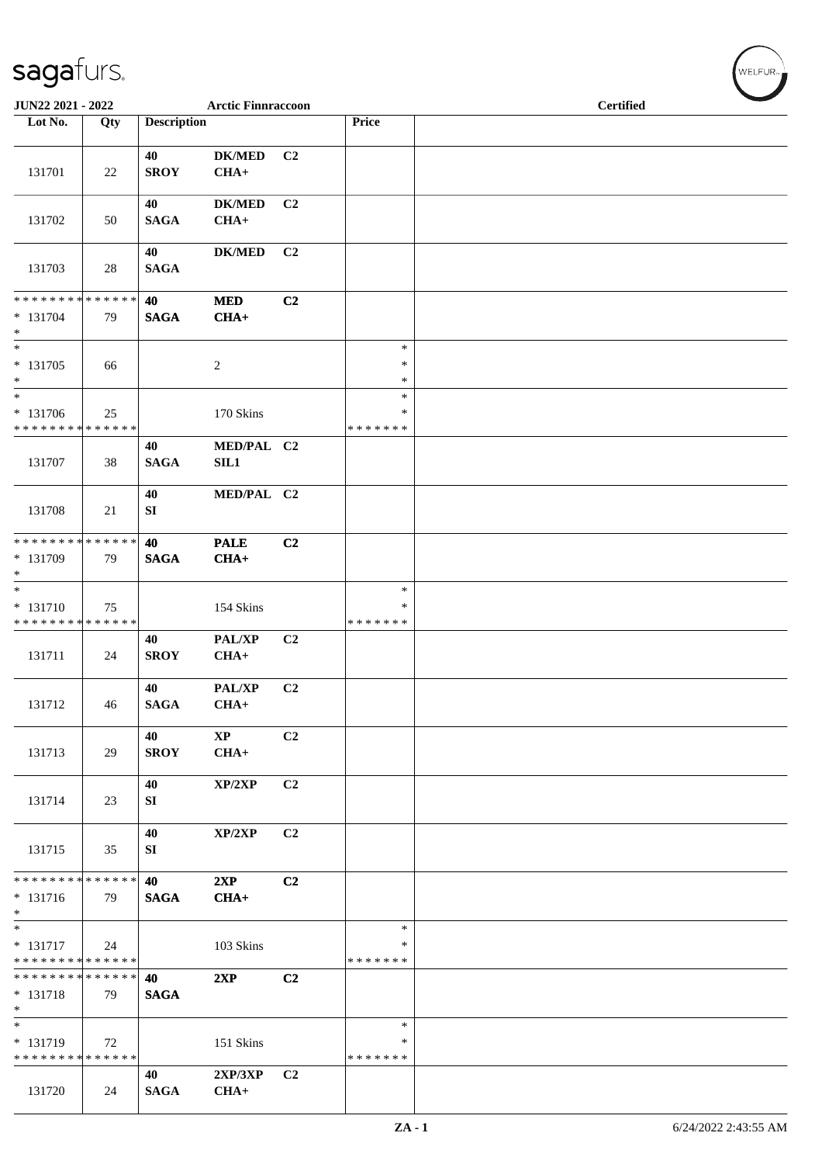| JUN22 2021 - 2022                                                   |     |                    | <b>Arctic Finnraccoon</b> |                |                                   | <b>Certified</b> |
|---------------------------------------------------------------------|-----|--------------------|---------------------------|----------------|-----------------------------------|------------------|
| Lot No.                                                             | Qty | <b>Description</b> |                           |                | Price                             |                  |
| 131701                                                              | 22  | 40<br><b>SROY</b>  | <b>DK/MED</b><br>$CHA+$   | C <sub>2</sub> |                                   |                  |
| 131702                                                              | 50  | 40<br><b>SAGA</b>  | <b>DK/MED</b><br>$CHA+$   | C <sub>2</sub> |                                   |                  |
| 131703                                                              | 28  | 40<br><b>SAGA</b>  | <b>DK/MED</b>             | C <sub>2</sub> |                                   |                  |
| * * * * * * * * * * * * * *<br>* 131704<br>$*$                      | 79  | 40<br><b>SAGA</b>  | <b>MED</b><br>$CHA+$      | C2             |                                   |                  |
| $\ast$<br>$* 131705$<br>$\ast$                                      | 66  |                    | $\overline{c}$            |                | $\ast$<br>$\ast$<br>∗             |                  |
| $\ast$<br>* 131706<br>* * * * * * * * * * * * * *                   | 25  |                    | 170 Skins                 |                | $\ast$<br>∗<br>* * * * * * *      |                  |
| 131707                                                              | 38  | 40<br><b>SAGA</b>  | MED/PAL C2<br>SIL1        |                |                                   |                  |
| 131708                                                              | 21  | 40<br>SI           | MED/PAL C2                |                |                                   |                  |
| * * * * * * * * * * * * * *<br>* 131709<br>$*$                      | 79  | 40<br><b>SAGA</b>  | <b>PALE</b><br>$CHA+$     | C2             |                                   |                  |
| $\ast$<br>* 131710<br>* * * * * * * * * * * * * *                   | 75  |                    | 154 Skins                 |                | $\ast$<br>$\ast$<br>* * * * * * * |                  |
| 131711                                                              | 24  | 40<br><b>SROY</b>  | PAL/XP<br>$CHA+$          | C2             |                                   |                  |
| 131712                                                              | 46  | 40<br>SAGA         | PAL/XP<br>$CHA+$          | C <sub>2</sub> |                                   |                  |
| 131713                                                              | 29  | 40<br><b>SROY</b>  | $\mathbf{XP}$<br>$CHA+$   | C2             |                                   |                  |
| 131714                                                              | 23  | 40<br>SI           | XP/2XP                    | C <sub>2</sub> |                                   |                  |
| 131715                                                              | 35  | 40<br>SI           | XP/2XP                    | C <sub>2</sub> |                                   |                  |
| * * * * * * * * * * * * * *<br>* 131716<br>$*$                      | 79  | 40<br><b>SAGA</b>  | 2XP<br>$CHA+$             | C2             |                                   |                  |
| $*$<br>$* 131717$<br>* * * * * * * * * * * * * *                    | 24  |                    | 103 Skins                 |                | $\ast$<br>∗<br>* * * * * * *      |                  |
| * * * * * * * * * * * * * *<br>* 131718<br>$\ast$                   | 79  | 40<br><b>SAGA</b>  | 2XP                       | C2             |                                   |                  |
| $\overline{\phantom{0}}$<br>* 131719<br>* * * * * * * * * * * * * * | 72  |                    | 151 Skins                 |                | $\ast$<br>∗<br>* * * * * * *      |                  |
| 131720                                                              | 24  | 40<br><b>SAGA</b>  | 2XP/3XP<br>$CHA+$         | C <sub>2</sub> |                                   |                  |

WELFUR<sub>"</sub>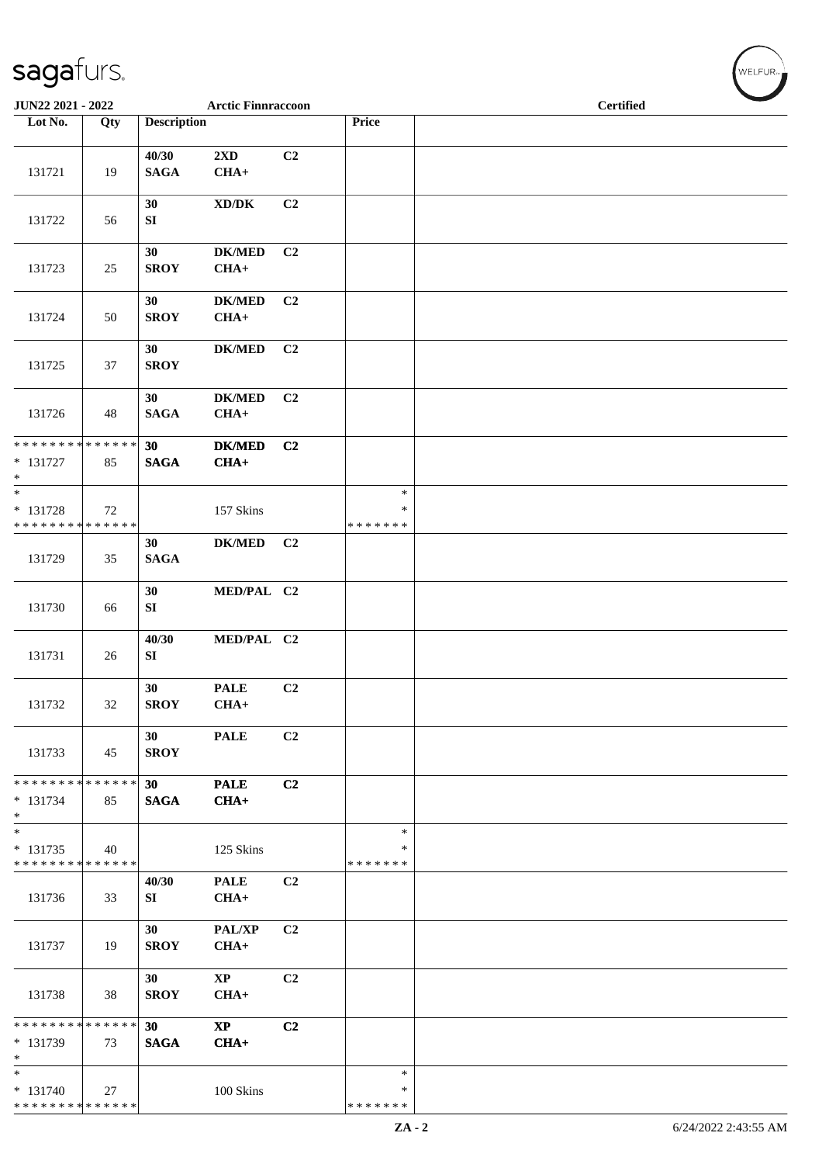| JUN22 2021 - 2022                                                    |        |                      | <b>Arctic Finnraccoon</b>           |                |                                   | <b>Certified</b> |
|----------------------------------------------------------------------|--------|----------------------|-------------------------------------|----------------|-----------------------------------|------------------|
| Lot No.                                                              | Qty    | <b>Description</b>   |                                     |                | Price                             |                  |
| 131721                                                               | 19     | 40/30<br><b>SAGA</b> | 2XD<br>$CHA+$                       | C2             |                                   |                  |
| 131722                                                               | 56     | 30<br>SI             | $\bold{X}\bold{D}/\bold{D}\bold{K}$ | C2             |                                   |                  |
| 131723                                                               | 25     | 30<br><b>SROY</b>    | $DK/MED$<br>$CHA+$                  | C <sub>2</sub> |                                   |                  |
| 131724                                                               | 50     | 30<br><b>SROY</b>    | <b>DK/MED</b><br>$CHA+$             | C <sub>2</sub> |                                   |                  |
| 131725                                                               | 37     | 30<br><b>SROY</b>    | <b>DK/MED</b>                       | C2             |                                   |                  |
| 131726                                                               | 48     | 30<br><b>SAGA</b>    | <b>DK/MED</b><br>$CHA+$             | C <sub>2</sub> |                                   |                  |
| * * * * * * * * * * * * * *<br>* 131727<br>$\ast$                    | 85     | 30<br><b>SAGA</b>    | <b>DK/MED</b><br>$CHA+$             | C <sub>2</sub> |                                   |                  |
| $\ast$<br>* 131728<br>* * * * * * * * * * * * * *                    | 72     |                      | 157 Skins                           |                | $\ast$<br>∗<br>* * * * * * *      |                  |
| 131729                                                               | 35     | 30<br><b>SAGA</b>    | <b>DK/MED</b>                       | C <sub>2</sub> |                                   |                  |
| 131730                                                               | 66     | 30<br>SI             | MED/PAL C2                          |                |                                   |                  |
| 131731                                                               | 26     | 40/30<br>SI          | MED/PAL C2                          |                |                                   |                  |
| 131732                                                               | $32\,$ | 30<br><b>SROY</b>    | <b>PALE</b><br>$CHA+$               | C <sub>2</sub> |                                   |                  |
| 131733                                                               | 45     | 30<br><b>SROY</b>    | <b>PALE</b>                         | C2             |                                   |                  |
| * * * * * * * * * * * * * *<br>$* 131734$<br>$*$                     | 85     | 30<br><b>SAGA</b>    | <b>PALE</b><br>$CHA+$               | C2             |                                   |                  |
| $\ast$<br>$* 131735$<br>* * * * * * * * * * * * * *                  | 40     |                      | 125 Skins                           |                | $\ast$<br>∗<br>* * * * * * *      |                  |
| 131736                                                               | 33     | 40/30<br>SI          | <b>PALE</b><br>$CHA+$               | C <sub>2</sub> |                                   |                  |
| 131737                                                               | 19     | 30<br><b>SROY</b>    | PAL/XP<br>$CHA+$                    | C2             |                                   |                  |
| 131738                                                               | 38     | 30<br><b>SROY</b>    | $\mathbf{X}\mathbf{P}$<br>$CHA+$    | C <sub>2</sub> |                                   |                  |
| * * * * * * * * * * * * * *<br>* 131739<br>$\ast$                    | 73     | 30<br><b>SAGA</b>    | $\mathbf{X}\mathbf{P}$<br>$CHA+$    | C2             |                                   |                  |
| $\overline{\phantom{0}}$<br>* 131740<br>******** <mark>******</mark> | 27     |                      | 100 Skins                           |                | $\ast$<br>$\ast$<br>* * * * * * * |                  |

WELFUR<sub>"</sub>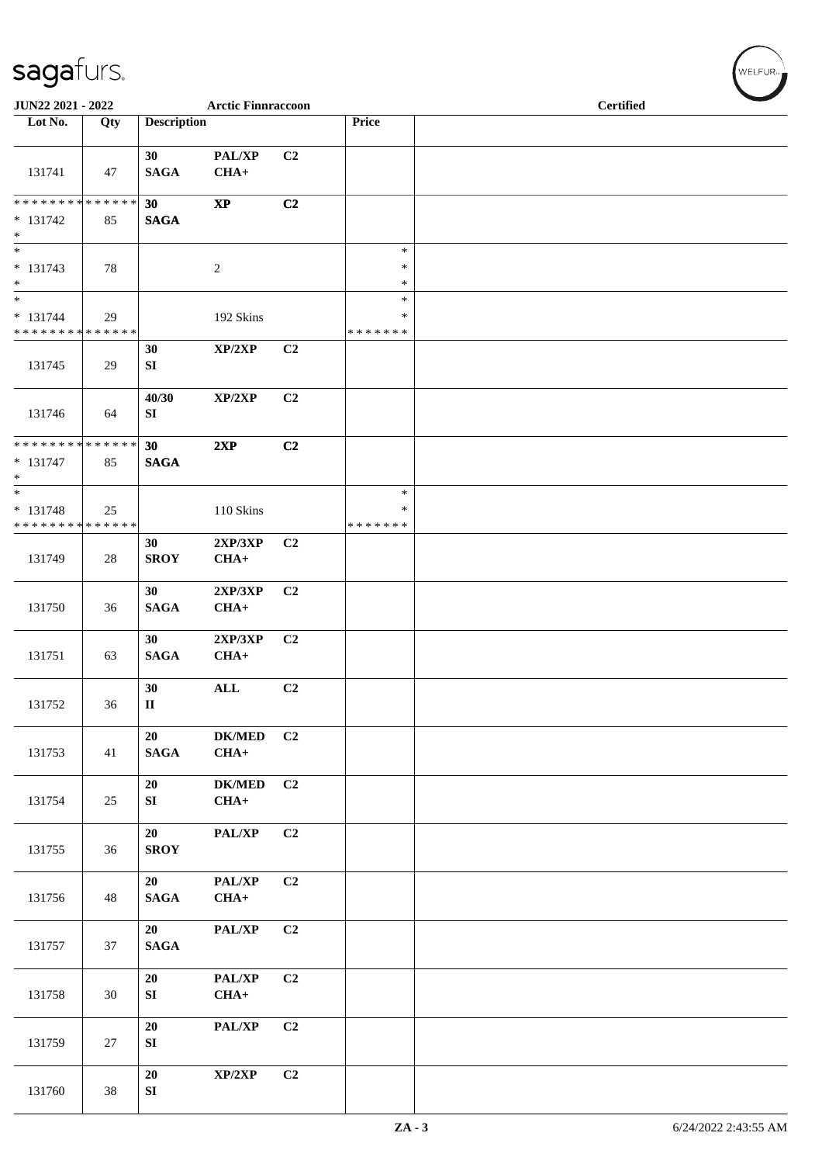| JUN22 2021 - 2022<br><b>Arctic Finnraccoon</b>                        |     |                        |                          |                |                                   | <b>Certified</b> |  |  |  |  |
|-----------------------------------------------------------------------|-----|------------------------|--------------------------|----------------|-----------------------------------|------------------|--|--|--|--|
| Lot No.                                                               | Qty | <b>Description</b>     |                          |                | Price                             |                  |  |  |  |  |
| 131741                                                                | 47  | 30<br><b>SAGA</b>      | PAL/XP<br>$CHA+$         | C <sub>2</sub> |                                   |                  |  |  |  |  |
| ******** <mark>******</mark><br>$* 131742$<br>$\ast$                  | 85  | 30<br><b>SAGA</b>      | $\bold{XP}$              | C2             |                                   |                  |  |  |  |  |
| $\overline{\phantom{0}}$<br>$* 131743$<br>$\ast$                      | 78  |                        | $\sqrt{2}$               |                | $\ast$<br>$\ast$<br>$\ast$        |                  |  |  |  |  |
| $\ast$<br>$* 131744$<br>******** <mark>******</mark>                  | 29  |                        | 192 Skins                |                | $\ast$<br>$\ast$<br>* * * * * * * |                  |  |  |  |  |
| 131745                                                                | 29  | 30<br>SI               | XP/2XP                   | C2             |                                   |                  |  |  |  |  |
| 131746                                                                | 64  | 40/30<br>SI            | XP/2XP                   | C2             |                                   |                  |  |  |  |  |
| * * * * * * * * * * * * * *<br>$* 131747$<br>$*$                      | 85  | 30<br><b>SAGA</b>      | 2XP                      | C2             |                                   |                  |  |  |  |  |
| $\overline{\phantom{0}}$<br>$* 131748$<br>* * * * * * * * * * * * * * | 25  |                        | 110 Skins                |                | $\ast$<br>∗<br>* * * * * * *      |                  |  |  |  |  |
| 131749                                                                | 28  | 30<br><b>SROY</b>      | 2XP/3XP<br>$CHA+$        | C <sub>2</sub> |                                   |                  |  |  |  |  |
| 131750                                                                | 36  | 30<br><b>SAGA</b>      | 2XP/3XP<br>$CHA+$        | C2             |                                   |                  |  |  |  |  |
| 131751                                                                | 63  | 30<br><b>SAGA</b>      | 2XP/3XP<br>$CHA+$        | C2             |                                   |                  |  |  |  |  |
| 131752                                                                | 36  | 30<br>$\mathbf{I}$     | $\mathbf{ALL}$           | C <sub>2</sub> |                                   |                  |  |  |  |  |
| 131753                                                                | 41  | 20<br><b>SAGA</b>      | ${\bf DK/MED}$<br>$CHA+$ | C2             |                                   |                  |  |  |  |  |
| 131754                                                                | 25  | 20<br>${\bf S}{\bf I}$ | <b>DK/MED</b><br>$CHA+$  | C2             |                                   |                  |  |  |  |  |
| 131755                                                                | 36  | 20<br><b>SROY</b>      | PAL/XP                   | C <sub>2</sub> |                                   |                  |  |  |  |  |
| 131756                                                                | 48  | 20<br><b>SAGA</b>      | PAL/XP<br>$CHA+$         | C2             |                                   |                  |  |  |  |  |
| 131757                                                                | 37  | 20<br>$\mathbf{SAGA}$  | PAL/XP                   | C2             |                                   |                  |  |  |  |  |
| 131758                                                                | 30  | 20<br>${\bf S}{\bf I}$ | PAL/XP<br>$CHA+$         | C2             |                                   |                  |  |  |  |  |
| 131759                                                                | 27  | ${\bf 20}$<br>SI       | PAL/XP                   | C2             |                                   |                  |  |  |  |  |
| 131760                                                                | 38  | 20<br>${\bf SI}$       | XP/2XP                   | C2             |                                   |                  |  |  |  |  |